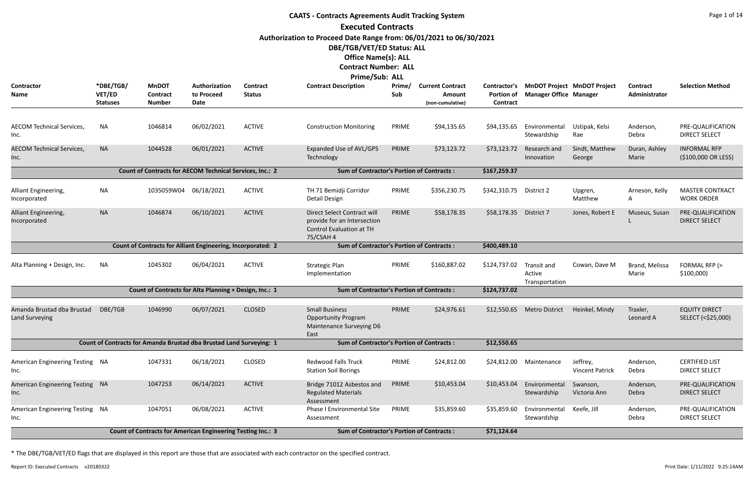# **CAATS - Contracts Agreements Audit Tracking System Executed Contracts Authorization to Proceed Date Range from: 06/01/2021 to 06/30/2021 DBE/TGB/VET/ED Status: ALL Office Name(s): ALL Contract Number: ALL**

| Prime/Sub: ALL                                                                                                         |                                        |                                                                     |                                     |                                  |                                                                                                            |                     |                                                              |                                               |                                         |                                    |                                  |                                               |
|------------------------------------------------------------------------------------------------------------------------|----------------------------------------|---------------------------------------------------------------------|-------------------------------------|----------------------------------|------------------------------------------------------------------------------------------------------------|---------------------|--------------------------------------------------------------|-----------------------------------------------|-----------------------------------------|------------------------------------|----------------------------------|-----------------------------------------------|
| <b>Contractor</b><br>Name                                                                                              | *DBE/TGB/<br>VET/ED<br><b>Statuses</b> | <b>MnDOT</b><br>Contract<br><b>Number</b>                           | Authorization<br>to Proceed<br>Date | <b>Contract</b><br><b>Status</b> | <b>Contract Description</b>                                                                                | <b>Prime</b><br>Sub | <b>Current Contract</b><br><b>Amount</b><br>(non-cumulative) | Contractor's<br><b>Portion of</b><br>Contract | <b>Manager Office Manager</b>           | <b>MnDOT Project MnDOT Project</b> | <b>Contract</b><br>Administrator | <b>Selection Method</b>                       |
| <b>AECOM Technical Services,</b><br>Inc.                                                                               | NA                                     | 1046814                                                             | 06/02/2021                          | <b>ACTIVE</b>                    | <b>Construction Monitoring</b>                                                                             | PRIME               | \$94,135.65                                                  | \$94,135.65                                   | Environmental<br>Stewardship            | Ustipak, Kelsi<br>Rae              | Anderson,<br>Debra               | PRE-QUALIFICATION<br><b>DIRECT SELECT</b>     |
| <b>AECOM Technical Services,</b><br>Inc.                                                                               | <b>NA</b>                              | 1044528                                                             | 06/01/2021                          | <b>ACTIVE</b>                    | Expanded Use of AVL/GPS<br>Technology                                                                      | PRIME               | \$73,123.72                                                  | \$73,123.72                                   | Research and<br>Innovation              | Sindt, Matthew<br>George           | Duran, Ashley<br>Marie           | <b>INFORMAL RFP</b><br>(\$100,000 OR LESS)    |
|                                                                                                                        |                                        | Count of Contracts for AECOM Technical Services, Inc.: 2            |                                     |                                  | <b>Sum of Contractor's Portion of Contracts:</b>                                                           |                     |                                                              | \$167,259.37                                  |                                         |                                    |                                  |                                               |
| Alliant Engineering,<br>Incorporated                                                                                   | <b>NA</b>                              | 1035059W04                                                          | 06/18/2021                          | <b>ACTIVE</b>                    | TH 71 Bemidji Corridor<br>Detail Design                                                                    | PRIME               | \$356,230.75                                                 | \$342,310.75                                  | District 2                              | Upgren,<br>Matthew                 | Arneson, Kelly<br>A              | <b>MASTER CONTRACT</b><br><b>WORK ORDER</b>   |
| Alliant Engineering,<br>Incorporated                                                                                   | <b>NA</b>                              | 1046874                                                             | 06/10/2021                          | <b>ACTIVE</b>                    | Direct Select Contract will<br>provide for an Intersection<br><b>Control Evaluation at TH</b><br>75/CSAH 4 | PRIME               | \$58,178.35                                                  | \$58,178.35                                   | District 7                              | Jones, Robert E                    | Museus, Susan                    | PRE-QUALIFICATION<br><b>DIRECT SELECT</b>     |
|                                                                                                                        |                                        | Count of Contracts for Alliant Engineering, Incorporated: 2         |                                     |                                  | <b>Sum of Contractor's Portion of Contracts:</b>                                                           |                     |                                                              | \$400,489.10                                  |                                         |                                    |                                  |                                               |
| Alta Planning + Design, Inc.                                                                                           | NA                                     | 1045302                                                             | 06/04/2021                          | <b>ACTIVE</b>                    | <b>Strategic Plan</b><br>Implementation                                                                    | PRIME               | \$160,887.02                                                 | \$124,737.02                                  | Transit and<br>Active<br>Transportation | Cowan, Dave M                      | Brand, Melissa<br>Marie          | FORMAL RFP (><br>\$100,000                    |
|                                                                                                                        |                                        | Count of Contracts for Alta Planning + Design, Inc.: 1              |                                     |                                  | <b>Sum of Contractor's Portion of Contracts:</b>                                                           |                     |                                                              | \$124,737.02                                  |                                         |                                    |                                  |                                               |
| Amanda Brustad dba Brustad<br><b>Land Surveying</b>                                                                    | DBE/TGB                                | 1046990                                                             | 06/07/2021                          | <b>CLOSED</b>                    | <b>Small Business</b><br><b>Opportunity Program</b><br>Maintenance Surveying D6<br>East                    | PRIME               | \$24,976.61                                                  | \$12,550.65                                   | <b>Metro District</b>                   | Heinkel, Mindy                     | Traxler,<br>Leonard A            | <b>EQUITY DIRECT</b><br>SELECT (<\$25,000)    |
|                                                                                                                        |                                        | Count of Contracts for Amanda Brustad dba Brustad Land Surveying: 1 |                                     |                                  | <b>Sum of Contractor's Portion of Contracts:</b>                                                           |                     |                                                              | \$12,550.65                                   |                                         |                                    |                                  |                                               |
| American Engineering Testing NA<br>Inc.                                                                                |                                        | 1047331                                                             | 06/18/2021                          | <b>CLOSED</b>                    | <b>Redwood Falls Truck</b><br><b>Station Soil Borings</b>                                                  | PRIME               | \$24,812.00                                                  | \$24,812.00                                   | Maintenance                             | Jeffrey,<br><b>Vincent Patrick</b> | Anderson,<br>Debra               | <b>CERTIFIED LIST</b><br><b>DIRECT SELECT</b> |
| American Engineering Testing NA<br>Inc.                                                                                |                                        | 1047253                                                             | 06/14/2021                          | <b>ACTIVE</b>                    | Bridge 71012 Asbestos and<br><b>Regulated Materials</b><br>Assessment                                      | PRIME               | \$10,453.04                                                  | \$10,453.04                                   | Environmental<br>Stewardship            | Swanson,<br>Victoria Ann           | Anderson,<br>Debra               | PRE-QUALIFICATION<br><b>DIRECT SELECT</b>     |
| American Engineering Testing NA<br>Inc.                                                                                |                                        | 1047051                                                             | 06/08/2021                          | <b>ACTIVE</b>                    | Phase I Environmental Site<br>Assessment                                                                   | PRIME               | \$35,859.60                                                  | \$35,859.60                                   | Environmental<br>Stewardship            | Keefe, Jill                        | Anderson,<br>Debra               | PRE-QUALIFICATION<br><b>DIRECT SELECT</b>     |
| <b>Count of Contracts for American Engineering Testing Inc.: 3</b><br><b>Sum of Contractor's Portion of Contracts:</b> |                                        |                                                                     |                                     |                                  |                                                                                                            |                     |                                                              | \$71,124.64                                   |                                         |                                    |                                  |                                               |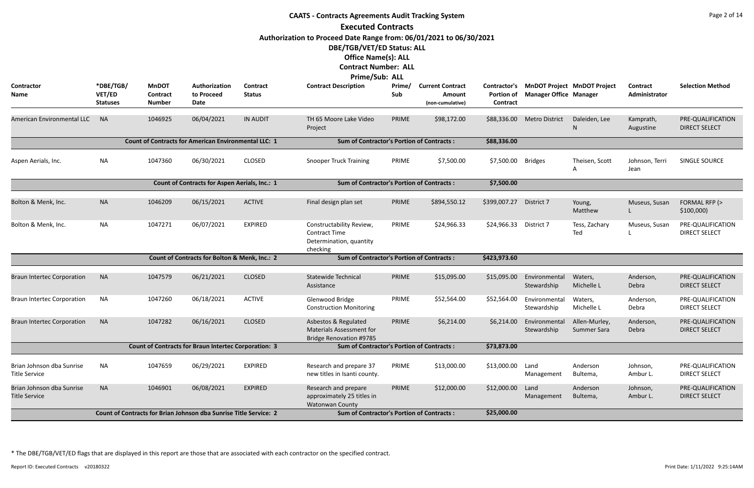|                                                   | <b>CAATS - Contracts Agreements Audit Tracking System</b> |                                           |                                                                          |                           |                                                                                           |               |                                                       |                               |                               |                                          |                                  |                                           |  |
|---------------------------------------------------|-----------------------------------------------------------|-------------------------------------------|--------------------------------------------------------------------------|---------------------------|-------------------------------------------------------------------------------------------|---------------|-------------------------------------------------------|-------------------------------|-------------------------------|------------------------------------------|----------------------------------|-------------------------------------------|--|
|                                                   |                                                           |                                           |                                                                          |                           | <b>Executed Contracts</b>                                                                 |               |                                                       |                               |                               |                                          |                                  |                                           |  |
|                                                   |                                                           |                                           |                                                                          |                           | Authorization to Proceed Date Range from: 06/01/2021 to 06/30/2021                        |               |                                                       |                               |                               |                                          |                                  |                                           |  |
|                                                   |                                                           |                                           |                                                                          |                           | DBE/TGB/VET/ED Status: ALL                                                                |               |                                                       |                               |                               |                                          |                                  |                                           |  |
|                                                   |                                                           |                                           |                                                                          |                           | <b>Office Name(s): ALL</b>                                                                |               |                                                       |                               |                               |                                          |                                  |                                           |  |
|                                                   |                                                           |                                           |                                                                          |                           | <b>Contract Number: ALL</b>                                                               |               |                                                       |                               |                               |                                          |                                  |                                           |  |
|                                                   |                                                           |                                           |                                                                          |                           | Prime/Sub: ALL                                                                            |               |                                                       |                               |                               |                                          |                                  |                                           |  |
| Contractor<br>Name                                | *DBE/TGB/<br>VET/ED<br><b>Statuses</b>                    | <b>MnDOT</b><br>Contract<br><b>Number</b> | Authorization<br>to Proceed<br>Date                                      | Contract<br><b>Status</b> | <b>Contract Description</b>                                                               | Prime/<br>Sub | <b>Current Contract</b><br>Amount<br>(non-cumulative) | <b>Portion of</b><br>Contract | <b>Manager Office Manager</b> | Contractor's MnDOT Project MnDOT Project | <b>Contract</b><br>Administrator | <b>Selection Method</b>                   |  |
| <b>American Environmental LLC</b>                 | <b>NA</b>                                                 | 1046925                                   | 06/04/2021                                                               | <b>IN AUDIT</b>           | TH 65 Moore Lake Video<br>Project                                                         | PRIME         | \$98,172.00                                           | \$88,336.00                   | <b>Metro District</b>         | Daleiden, Lee<br>N                       | Kamprath,<br>Augustine           | PRE-QUALIFICATION<br><b>DIRECT SELECT</b> |  |
|                                                   |                                                           |                                           | <b>Count of Contracts for American Environmental LLC: 1</b>              |                           | <b>Sum of Contractor's Portion of Contracts:</b>                                          |               |                                                       | \$88,336.00                   |                               |                                          |                                  |                                           |  |
| Aspen Aerials, Inc.                               | <b>NA</b>                                                 | 1047360                                   | 06/30/2021                                                               | <b>CLOSED</b>             | <b>Snooper Truck Training</b>                                                             | PRIME         | \$7,500.00                                            | \$7,500.00                    | <b>Bridges</b>                | Theisen, Scott                           | Johnson, Terri<br>Jean           | SINGLE SOURCE                             |  |
|                                                   |                                                           |                                           | Count of Contracts for Aspen Aerials, Inc.: 1                            |                           | <b>Sum of Contractor's Portion of Contracts:</b>                                          |               |                                                       | \$7,500.00                    |                               |                                          |                                  |                                           |  |
| Bolton & Menk, Inc.                               | <b>NA</b>                                                 | 1046209                                   | 06/15/2021                                                               | <b>ACTIVE</b>             | Final design plan set                                                                     | PRIME         | \$894,550.12                                          | \$399,007.27                  | District 7                    | Young,<br>Matthew                        | Museus, Susan                    | FORMAL RFP (><br>\$100,000                |  |
| Bolton & Menk, Inc.                               | <b>NA</b>                                                 | 1047271                                   | 06/07/2021                                                               | <b>EXPIRED</b>            | Constructability Review,<br><b>Contract Time</b><br>Determination, quantity<br>checking   | PRIME         | \$24,966.33                                           | \$24,966.33                   | District 7                    | Tess, Zachary<br>Ted                     | Museus, Susan                    | PRE-QUALIFICATION<br><b>DIRECT SELECT</b> |  |
|                                                   |                                                           |                                           | Count of Contracts for Bolton & Menk, Inc.: 2                            |                           | <b>Sum of Contractor's Portion of Contracts:</b>                                          |               |                                                       | \$423,973.60                  |                               |                                          |                                  |                                           |  |
| <b>Braun Intertec Corporation</b>                 | <b>NA</b>                                                 | 1047579                                   | 06/21/2021                                                               | <b>CLOSED</b>             | <b>Statewide Technical</b><br>Assistance                                                  | PRIME         | \$15,095.00                                           | \$15,095.00                   | Environmental<br>Stewardship  | Waters,<br>Michelle L                    | Anderson,<br>Debra               | PRE-QUALIFICATION<br><b>DIRECT SELECT</b> |  |
| <b>Braun Intertec Corporation</b>                 | NA                                                        | 1047260                                   | 06/18/2021                                                               | <b>ACTIVE</b>             | Glenwood Bridge<br><b>Construction Monitoring</b>                                         | PRIME         | \$52,564.00                                           | \$52,564.00                   | Environmental<br>Stewardship  | Waters,<br>Michelle L                    | Anderson,<br>Debra               | PRE-QUALIFICATION<br><b>DIRECT SELECT</b> |  |
| <b>Braun Intertec Corporation</b>                 | <b>NA</b>                                                 | 1047282                                   | 06/16/2021                                                               | <b>CLOSED</b>             | Asbestos & Regulated<br><b>Materials Assessment for</b><br><b>Bridge Renovation #9785</b> | PRIME         | \$6,214.00                                            | \$6,214.00                    | Environmental<br>Stewardship  | Allen-Murley,<br>Summer Sara             | Anderson,<br>Debra               | PRE-QUALIFICATION<br><b>DIRECT SELECT</b> |  |
|                                                   |                                                           |                                           | <b>Count of Contracts for Braun Intertec Corporation: 3</b>              |                           | <b>Sum of Contractor's Portion of Contracts:</b>                                          |               |                                                       | \$73,873.00                   |                               |                                          |                                  |                                           |  |
| Brian Johnson dba Sunrise<br>Title Service        | <b>NA</b>                                                 | 1047659                                   | 06/29/2021                                                               | <b>EXPIRED</b>            | Research and prepare 37<br>new titles in Isanti county.                                   | PRIME         | \$13,000.00                                           | \$13,000.00                   | Land<br>Management            | Anderson<br>Bultema,                     | Johnson,<br>Ambur L.             | PRE-QUALIFICATION<br><b>DIRECT SELECT</b> |  |
| Brian Johnson dba Sunrise<br><b>Title Service</b> | <b>NA</b>                                                 | 1046901                                   | 06/08/2021                                                               | <b>EXPIRED</b>            | Research and prepare<br>approximately 25 titles in<br>Watonwan County                     | PRIME         | \$12,000.00                                           | \$12,000.00                   | Land<br>Management            | Anderson<br>Bultema,                     | Johnson,<br>Ambur L.             | PRE-QUALIFICATION<br><b>DIRECT SELECT</b> |  |
|                                                   |                                                           |                                           | <b>Count of Contracts for Brian Johnson dba Sunrise Title Service: 2</b> |                           | <b>Sum of Contractor's Portion of Contracts:</b>                                          |               |                                                       | \$25,000.00                   |                               |                                          |                                  |                                           |  |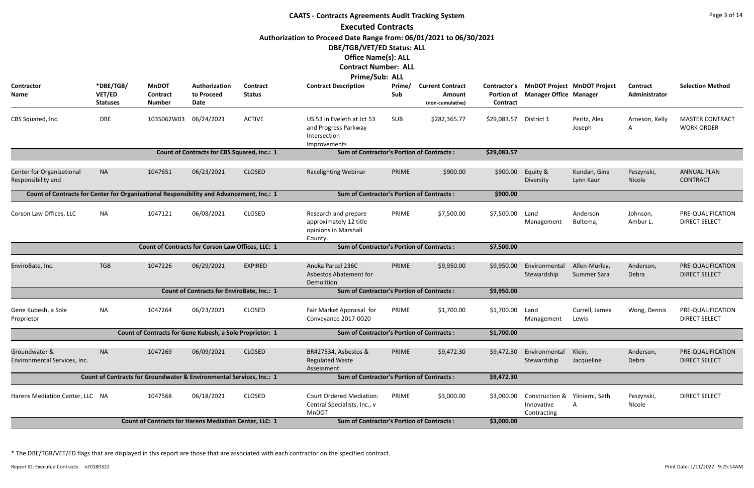| <b>CAATS - Contracts Agreements Audit Tracking System</b>                                                                      |                                                                                                                          |                                                                      |                                                   |                           |                                                                                    |               |                                                       |                                               |                                                            |                                    |                           |                                             |  |
|--------------------------------------------------------------------------------------------------------------------------------|--------------------------------------------------------------------------------------------------------------------------|----------------------------------------------------------------------|---------------------------------------------------|---------------------------|------------------------------------------------------------------------------------|---------------|-------------------------------------------------------|-----------------------------------------------|------------------------------------------------------------|------------------------------------|---------------------------|---------------------------------------------|--|
|                                                                                                                                |                                                                                                                          |                                                                      |                                                   |                           | <b>Executed Contracts</b>                                                          |               |                                                       |                                               |                                                            |                                    |                           |                                             |  |
| Authorization to Proceed Date Range from: 06/01/2021 to 06/30/2021<br>DBE/TGB/VET/ED Status: ALL<br><b>Office Name(s): ALL</b> |                                                                                                                          |                                                                      |                                                   |                           |                                                                                    |               |                                                       |                                               |                                                            |                                    |                           |                                             |  |
|                                                                                                                                |                                                                                                                          |                                                                      |                                                   |                           | <b>Contract Number: ALL</b>                                                        |               |                                                       |                                               |                                                            |                                    |                           |                                             |  |
|                                                                                                                                |                                                                                                                          |                                                                      |                                                   |                           | Prime/Sub: ALL                                                                     |               |                                                       |                                               |                                                            |                                    |                           |                                             |  |
| <b>Contractor</b><br>Name                                                                                                      | *DBE/TGB/<br>VET/ED<br><b>Statuses</b>                                                                                   | <b>MnDOT</b><br><b>Contract</b><br><b>Number</b>                     | Authorization<br>to Proceed<br>Date               | Contract<br><b>Status</b> | <b>Contract Description</b>                                                        | Prime/<br>Sub | <b>Current Contract</b><br>Amount<br>(non-cumulative) | Contractor's<br><b>Portion of</b><br>Contract | <b>Manager Office Manager</b>                              | <b>MnDOT Project MnDOT Project</b> | Contract<br>Administrator | <b>Selection Method</b>                     |  |
| CBS Squared, Inc.                                                                                                              | DBE                                                                                                                      | 1035062W03                                                           | 06/24/2021                                        | <b>ACTIVE</b>             | US 53 in Eveleth at Jct 53<br>and Progress Parkway<br>Intersection<br>Improvements | SUB           | \$282,365.77                                          | \$29,083.57                                   | District 1                                                 | Peritz, Alex<br>Joseph             | Arneson, Kelly<br>A       | <b>MASTER CONTRACT</b><br><b>WORK ORDER</b> |  |
|                                                                                                                                |                                                                                                                          |                                                                      | Count of Contracts for CBS Squared, Inc.: 1       |                           | <b>Sum of Contractor's Portion of Contracts:</b>                                   |               |                                                       | \$29,083.57                                   |                                                            |                                    |                           |                                             |  |
| Center for Organizational<br>Responsibility and                                                                                | <b>NA</b>                                                                                                                | 1047651                                                              | 06/23/2021                                        | <b>CLOSED</b>             | Racelighting Webinar                                                               | PRIME         | \$900.00                                              | \$900.00                                      | Equity &<br>Diversity                                      | Kundan, Gina<br>Lynn Kaur          | Peszynski,<br>Nicole      | <b>ANNUAL PLAN</b><br><b>CONTRACT</b>       |  |
| Count of Contracts for Center for Organizational Responsibility and Advancement, Inc.: 1                                       |                                                                                                                          |                                                                      |                                                   |                           | <b>Sum of Contractor's Portion of Contracts:</b>                                   |               |                                                       | \$900.00                                      |                                                            |                                    |                           |                                             |  |
| Corson Law Offices, LLC                                                                                                        | <b>NA</b>                                                                                                                | 1047121                                                              | 06/08/2021                                        | <b>CLOSED</b>             | Research and prepare<br>approximately 12 title<br>opinions in Marshall<br>County.  | PRIME         | \$7,500.00                                            | \$7,500.00                                    | Land<br>Management                                         | Anderson<br>Bultema,               | Johnson,<br>Ambur L.      | PRE-QUALIFICATION<br><b>DIRECT SELECT</b>   |  |
|                                                                                                                                |                                                                                                                          | Count of Contracts for Corson Law Offices, LLC: 1                    |                                                   |                           | <b>Sum of Contractor's Portion of Contracts:</b>                                   |               |                                                       | \$7,500.00                                    |                                                            |                                    |                           |                                             |  |
| EnviroBate, Inc.                                                                                                               | <b>TGB</b>                                                                                                               | 1047226                                                              | 06/29/2021                                        | <b>EXPIRED</b>            | Anoka Parcel 236C<br>Asbestos Abatement for<br>Demolition                          | PRIME         | \$9,950.00                                            | \$9,950.00                                    | Environmental<br>Stewardship                               | Allen-Murley,<br>Summer Sara       | Anderson,<br>Debra        | PRE-QUALIFICATION<br><b>DIRECT SELECT</b>   |  |
|                                                                                                                                |                                                                                                                          |                                                                      | <b>Count of Contracts for EnviroBate, Inc.: 1</b> |                           | <b>Sum of Contractor's Portion of Contracts:</b>                                   |               |                                                       | \$9,950.00                                    |                                                            |                                    |                           |                                             |  |
| Gene Kubesh, a Sole<br>Proprietor                                                                                              | NA                                                                                                                       | 1047264                                                              | 06/23/2021                                        | <b>CLOSED</b>             | Fair Market Appraisal for<br>Conveyance 2017-0020                                  | PRIME         | \$1,700.00                                            | \$1,700.00                                    | Land<br>Management                                         | Currell, James<br>Lewis            | Wong, Dennis              | PRE-QUALIFICATION<br><b>DIRECT SELECT</b>   |  |
|                                                                                                                                |                                                                                                                          | Count of Contracts for Gene Kubesh, a Sole Proprietor: 1             |                                                   |                           | <b>Sum of Contractor's Portion of Contracts:</b>                                   |               |                                                       | \$1,700.00                                    |                                                            |                                    |                           |                                             |  |
| Groundwater &<br>Environmental Services, Inc.                                                                                  | <b>NA</b>                                                                                                                | 1047269                                                              | 06/09/2021                                        | <b>CLOSED</b>             | BR#27534, Asbestos &<br><b>Regulated Waste</b><br>Assessment                       | PRIME         | \$9,472.30                                            | \$9,472.30                                    | Environmental<br>Stewardship                               | Klein,<br>Jacqueline               | Anderson,<br>Debra        | PRE-QUALIFICATION<br><b>DIRECT SELECT</b>   |  |
|                                                                                                                                |                                                                                                                          | Count of Contracts for Groundwater & Environmental Services, Inc.: 1 |                                                   |                           | <b>Sum of Contractor's Portion of Contracts:</b>                                   |               |                                                       | \$9,472.30                                    |                                                            |                                    |                           |                                             |  |
| Harens Mediation Center, LLC NA                                                                                                |                                                                                                                          | 1047568                                                              | 06/18/2021                                        | <b>CLOSED</b>             | <b>Court Ordered Mediation:</b><br>Central Specialists, Inc., v<br>MnDOT           | PRIME         | \$3,000.00                                            | \$3,000.00                                    | Construction & Yliniemi, Seth<br>Innovative<br>Contracting |                                    | Peszynski,<br>Nicole      | <b>DIRECT SELECT</b>                        |  |
|                                                                                                                                | Count of Contracts for Harens Mediation Center, LLC: 1<br><b>Sum of Contractor's Portion of Contracts:</b><br>\$3,000.00 |                                                                      |                                                   |                           |                                                                                    |               |                                                       |                                               |                                                            |                                    |                           |                                             |  |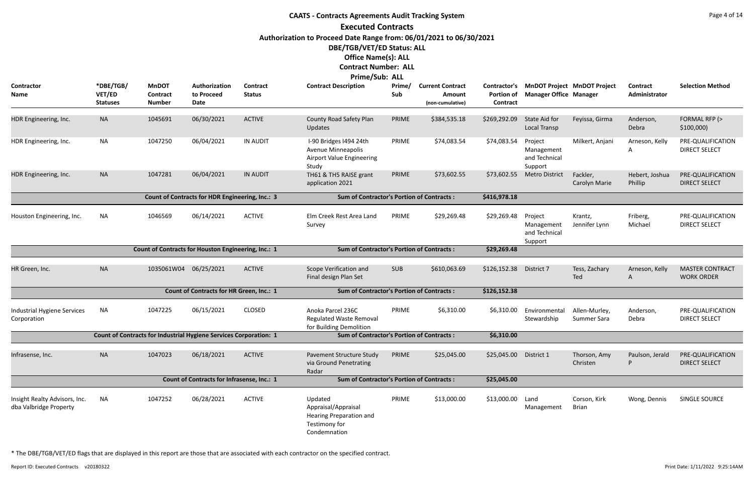## **CAATS - Contracts Agreements Audit Tracking System Executed Contracts Authorization to Proceed Date Range from: 06/01/2021 to 06/30/2021 DBE/TGB/VET/ED Status: ALL Office Name(s): ALL Contract Number: ALL Prime/Sub: ALL**

|                                                         |                                        |                                                                   |                                                        |                                  | . <i>. .</i>                                                                               |               |                                                       |                               |                                                   |                                          |                                  |                                                           |
|---------------------------------------------------------|----------------------------------------|-------------------------------------------------------------------|--------------------------------------------------------|----------------------------------|--------------------------------------------------------------------------------------------|---------------|-------------------------------------------------------|-------------------------------|---------------------------------------------------|------------------------------------------|----------------------------------|-----------------------------------------------------------|
| Contractor<br>Name                                      | *DBE/TGB/<br>VET/ED<br><b>Statuses</b> | <b>MnDOT</b><br><b>Contract</b><br><b>Number</b>                  | Authorization<br>to Proceed<br>Date                    | <b>Contract</b><br><b>Status</b> | <b>Contract Description</b>                                                                | Prime/<br>Sub | <b>Current Contract</b><br>Amount<br>(non-cumulative) | <b>Portion of</b><br>Contract | <b>Manager Office Manager</b>                     | Contractor's MnDOT Project MnDOT Project | <b>Contract</b><br>Administrator | <b>Selection Method</b>                                   |
| HDR Engineering, Inc.                                   | <b>NA</b>                              | 1045691                                                           | 06/30/2021                                             | <b>ACTIVE</b>                    | County Road Safety Plan<br><b>Updates</b>                                                  | PRIME         | \$384,535.18                                          | \$269,292.09                  | State Aid for<br><b>Local Transp</b>              | Feyissa, Girma                           | Anderson,<br>Debra               | FORMAL RFP (><br>\$100,000                                |
| HDR Engineering, Inc.                                   | NA                                     | 1047250                                                           | 06/04/2021                                             | <b>IN AUDIT</b>                  | I-90 Bridges I494 24th<br>Avenue Minneapolis<br><b>Airport Value Engineering</b><br>Study  | PRIME         | \$74,083.54                                           | \$74,083.54                   | Project<br>Management<br>and Technical<br>Support | Milkert, Anjani                          | Arneson, Kelly<br>A              | PRE-QUALIFICATION<br><b>DIRECT SELECT</b>                 |
| HDR Engineering, Inc.                                   | <b>NA</b>                              | 1047281                                                           | 06/04/2021                                             | <b>IN AUDIT</b>                  | TH61 & TH5 RAISE grant<br>application 2021                                                 | PRIME         | \$73,602.55                                           | \$73,602.55                   | <b>Metro District</b>                             | Fackler,<br>Carolyn Marie                | Hebert, Joshua<br>Phillip        | PRE-QUALIFICATION<br><b>DIRECT SELECT</b>                 |
|                                                         |                                        |                                                                   | <b>Count of Contracts for HDR Engineering, Inc.: 3</b> |                                  | <b>Sum of Contractor's Portion of Contracts:</b>                                           |               |                                                       | \$416,978.18                  |                                                   |                                          |                                  |                                                           |
| Houston Engineering, Inc.                               | <b>NA</b>                              | 1046569                                                           | 06/14/2021                                             | <b>ACTIVE</b>                    | Elm Creek Rest Area Land<br>Survey                                                         | PRIME         | \$29,269.48                                           | \$29,269.48                   | Project<br>Management<br>and Technical<br>Support | Krantz,<br>Jennifer Lynn                 | Friberg,<br>Michael              | PRE-QUALIFICATION<br><b>DIRECT SELECT</b>                 |
|                                                         |                                        | Count of Contracts for Houston Engineering, Inc.: 1               |                                                        |                                  | <b>Sum of Contractor's Portion of Contracts:</b>                                           |               |                                                       | \$29,269.48                   |                                                   |                                          |                                  |                                                           |
| HR Green, Inc.                                          | <b>NA</b>                              | 1035061W04                                                        | 06/25/2021                                             | <b>ACTIVE</b>                    | Scope Verification and<br>Final design Plan Set                                            | <b>SUB</b>    | \$610,063.69                                          | \$126,152.38                  | District 7                                        | Tess, Zachary<br>Ted                     | Arneson, Kelly<br>A              | <b>MASTER CONTRACT</b><br><b>WORK ORDER</b>               |
|                                                         |                                        |                                                                   | Count of Contracts for HR Green, Inc.: 1               |                                  | <b>Sum of Contractor's Portion of Contracts:</b>                                           |               |                                                       | \$126,152.38                  |                                                   |                                          |                                  |                                                           |
| Industrial Hygiene Services<br>Corporation              | <b>NA</b>                              | 1047225                                                           | 06/15/2021                                             | <b>CLOSED</b>                    | Anoka Parcel 236C<br><b>Regulated Waste Removal</b><br>for Building Demolition             | PRIME         | \$6,310.00                                            | \$6,310.00                    | Environmental<br>Stewardship                      | Allen-Murley,<br>Summer Sara             | Anderson,<br>Debra               | PRE-QUALIFICATION<br><b>DIRECT SELECT</b>                 |
|                                                         |                                        | Count of Contracts for Industrial Hygiene Services Corporation: 1 |                                                        |                                  | <b>Sum of Contractor's Portion of Contracts:</b>                                           |               |                                                       | \$6,310.00                    |                                                   |                                          |                                  |                                                           |
| Infrasense, Inc.                                        | <b>NA</b>                              | 1047023                                                           | 06/18/2021                                             | ACTIVE                           | Pavement Structure Study<br>via Ground Penetrating<br>Radar                                | <b>PRIME</b>  | \$25,045.00                                           | \$25,045.00 District 1        |                                                   | Thorson, Amy<br>Christen                 |                                  | Paulson, Jerald PRE-QUALIFICATION<br><b>DIRECT SELECT</b> |
| Count of Contracts for Infrasense, Inc.: 1              |                                        |                                                                   |                                                        |                                  | <b>Sum of Contractor's Portion of Contracts:</b>                                           |               |                                                       | \$25,045.00                   |                                                   |                                          |                                  |                                                           |
| Insight Realty Advisors, Inc.<br>dba Valbridge Property | <b>NA</b>                              | 1047252                                                           | 06/28/2021                                             | <b>ACTIVE</b>                    | Updated<br>Appraisal/Appraisal<br>Hearing Preparation and<br>Testimony for<br>Condemnation | PRIME         | \$13,000.00                                           | \$13,000.00                   | Land<br>Management                                | Corson, Kirk<br>Brian                    | Wong, Dennis                     | SINGLE SOURCE                                             |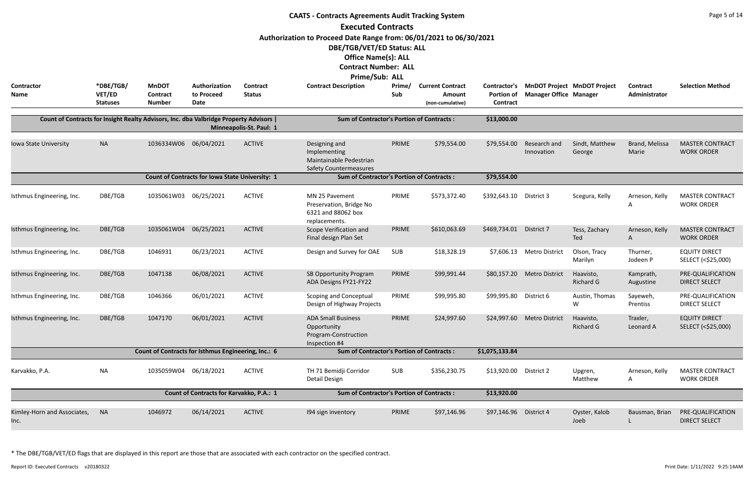| <b>CAATS - Contracts Agreements Audit Tracking System</b>                                                                                                                                                    |                                        |                                                     |                                                 |                           |                                                                                           |               |                                                       |                                                      |                               |                                    |                           |                                             |
|--------------------------------------------------------------------------------------------------------------------------------------------------------------------------------------------------------------|----------------------------------------|-----------------------------------------------------|-------------------------------------------------|---------------------------|-------------------------------------------------------------------------------------------|---------------|-------------------------------------------------------|------------------------------------------------------|-------------------------------|------------------------------------|---------------------------|---------------------------------------------|
| <b>Executed Contracts</b><br>Authorization to Proceed Date Range from: 06/01/2021 to 06/30/2021<br>DBE/TGB/VET/ED Status: ALL<br><b>Office Name(s): ALL</b><br><b>Contract Number: ALL</b><br>Prime/Sub: ALL |                                        |                                                     |                                                 |                           |                                                                                           |               |                                                       |                                                      |                               |                                    |                           |                                             |
| <b>Contractor</b><br>Name                                                                                                                                                                                    | *DBE/TGB/<br>VET/ED<br><b>Statuses</b> | <b>MnDOT</b><br>Contract<br><b>Number</b>           | Authorization<br>to Proceed<br>Date             | Contract<br><b>Status</b> | <b>Contract Description</b>                                                               | Prime/<br>Sub | <b>Current Contract</b><br>Amount<br>(non-cumulative) | <b>Contractor's</b><br><b>Portion of</b><br>Contract | <b>Manager Office Manager</b> | <b>MnDOT Project MnDOT Project</b> | Contract<br>Administrator | <b>Selection Method</b>                     |
| Count of Contracts for Insight Realty Advisors, Inc. dba Valbridge Property Advisors                                                                                                                         |                                        |                                                     |                                                 | Minneapolis-St. Paul: 1   | <b>Sum of Contractor's Portion of Contracts:</b>                                          |               |                                                       | \$13,000.00                                          |                               |                                    |                           |                                             |
| Iowa State University                                                                                                                                                                                        | <b>NA</b>                              | 1036334W06 06/04/2021                               |                                                 | <b>ACTIVE</b>             | Designing and<br>Implementing<br>Maintainable Pedestrian<br><b>Safety Countermeasures</b> | PRIME         | \$79,554.00                                           | \$79,554.00                                          | Research and<br>Innovation    | Sindt, Matthew<br>George           | Brand, Melissa<br>Marie   | <b>MASTER CONTRACT</b><br><b>WORK ORDER</b> |
|                                                                                                                                                                                                              |                                        |                                                     | Count of Contracts for Iowa State University: 1 |                           | <b>Sum of Contractor's Portion of Contracts:</b>                                          |               |                                                       | \$79,554.00                                          |                               |                                    |                           |                                             |
| Isthmus Engineering, Inc.                                                                                                                                                                                    | DBE/TGB                                | 1035061W03                                          | 06/25/2021                                      | <b>ACTIVE</b>             | MN 25 Pavement<br>Preservation, Bridge No<br>6321 and 88062 box<br>replacements.          | PRIME         | \$573,372.40                                          | \$392,643.10                                         | District 3                    | Scegura, Kelly                     | Arneson, Kelly<br>Α       | <b>MASTER CONTRACT</b><br><b>WORK ORDER</b> |
| Isthmus Engineering, Inc.                                                                                                                                                                                    | DBE/TGB                                | 1035061W04                                          | 06/25/2021                                      | <b>ACTIVE</b>             | Scope Verification and<br>Final design Plan Set                                           | PRIME         | \$610,063.69                                          | \$469,734.01                                         | District 7                    | Tess, Zachary<br>Ted               | Arneson, Kelly<br>A       | <b>MASTER CONTRACT</b><br><b>WORK ORDER</b> |
| Isthmus Engineering, Inc.                                                                                                                                                                                    | DBE/TGB                                | 1046931                                             | 06/23/2021                                      | <b>ACTIVE</b>             | Design and Survey for OAE                                                                 | SUB           | \$18,328.19                                           | \$7,606.13                                           | <b>Metro District</b>         | Olson, Tracy<br>Marilyn            | Thurner,<br>Jodeen P      | <b>EQUITY DIRECT</b><br>SELECT (<\$25,000)  |
| Isthmus Engineering, Inc.                                                                                                                                                                                    | DBE/TGB                                | 1047138                                             | 06/08/2021                                      | <b>ACTIVE</b>             | SB Opportunity Program<br>ADA Designs FY21-FY22                                           | PRIME         | \$99,991.44                                           | \$80,157.20                                          | <b>Metro District</b>         | Haavisto,<br><b>Richard G</b>      | Kamprath,<br>Augustine    | PRE-QUALIFICATION<br><b>DIRECT SELECT</b>   |
| Isthmus Engineering, Inc.                                                                                                                                                                                    | DBE/TGB                                | 1046366                                             | 06/01/2021                                      | <b>ACTIVE</b>             | <b>Scoping and Conceptual</b><br>Design of Highway Projects                               | PRIME         | \$99,995.80                                           | \$99,995.80                                          | District 6                    | Austin, Thomas<br>W                | Sayeweh,<br>Prentiss      | PRE-QUALIFICATION<br><b>DIRECT SELECT</b>   |
| Isthmus Engineering, Inc.                                                                                                                                                                                    | DBE/TGB                                | 1047170                                             | 06/01/2021                                      | <b>ACTIVE</b>             | <b>ADA Small Business</b><br>Opportunity<br>Program-Construction<br>Inspection #4         | PRIME         | \$24,997.60                                           | \$24,997.60                                          | <b>Metro District</b>         | Haavisto,<br><b>Richard G</b>      | Traxler,<br>Leonard A     | <b>EQUITY DIRECT</b><br>SELECT (<\$25,000)  |
|                                                                                                                                                                                                              |                                        | Count of Contracts for Isthmus Engineering, Inc.: 6 |                                                 |                           | <b>Sum of Contractor's Portion of Contracts:</b>                                          |               |                                                       | \$1,075,133.84                                       |                               |                                    |                           |                                             |
| Karvakko, P.A.                                                                                                                                                                                               | <b>NA</b>                              | 1035059W04                                          | 06/18/2021                                      | <b>ACTIVE</b>             | TH 71 Bemidji Corridor<br>Detail Design                                                   | SUB           | \$356,230.75                                          | \$13,920.00                                          | District 2                    | Upgren,<br>Matthew                 | Arneson, Kelly<br>A       | <b>MASTER CONTRACT</b><br><b>WORK ORDER</b> |
|                                                                                                                                                                                                              |                                        |                                                     | Count of Contracts for Karvakko, P.A.: 1        |                           | <b>Sum of Contractor's Portion of Contracts:</b>                                          |               |                                                       | \$13,920.00                                          |                               |                                    |                           |                                             |
| Kimley-Horn and Associates,<br>Inc.                                                                                                                                                                          | <b>NA</b>                              | 1046972                                             | 06/14/2021                                      | <b>ACTIVE</b>             | 194 sign inventory                                                                        | PRIME         | \$97,146.96                                           | \$97,146.96 District 4                               |                               | Oyster, Kalob<br>Joeb              | Bausman, Brian            | PRE-QUALIFICATION<br><b>DIRECT SELECT</b>   |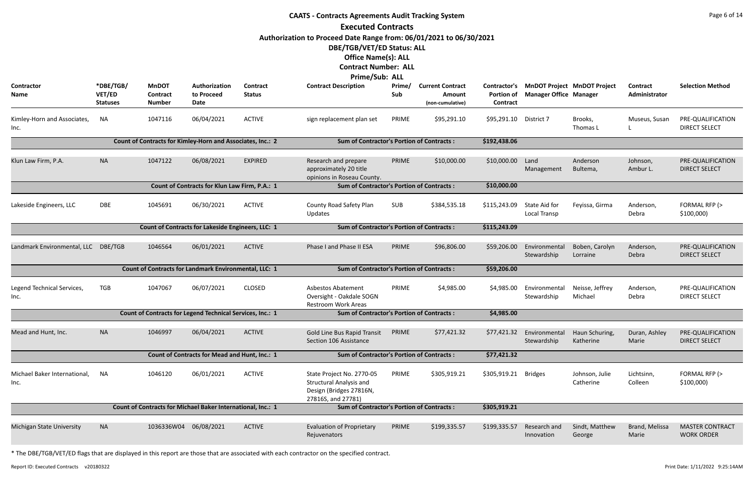|                                                                                                                                               | <b>CAATS - Contracts Agreements Audit Tracking System</b> |                                                             |                                                   |                           |                                                                                                              |               |                                                       |                                        |                                                                     |                             |                                  |                                             |  |
|-----------------------------------------------------------------------------------------------------------------------------------------------|-----------------------------------------------------------|-------------------------------------------------------------|---------------------------------------------------|---------------------------|--------------------------------------------------------------------------------------------------------------|---------------|-------------------------------------------------------|----------------------------------------|---------------------------------------------------------------------|-----------------------------|----------------------------------|---------------------------------------------|--|
|                                                                                                                                               |                                                           |                                                             |                                                   |                           | <b>Executed Contracts</b>                                                                                    |               |                                                       |                                        |                                                                     |                             |                                  |                                             |  |
|                                                                                                                                               |                                                           |                                                             |                                                   |                           | Authorization to Proceed Date Range from: 06/01/2021 to 06/30/2021<br>DBE/TGB/VET/ED Status: ALL             |               |                                                       |                                        |                                                                     |                             |                                  |                                             |  |
|                                                                                                                                               |                                                           |                                                             |                                                   |                           | <b>Office Name(s): ALL</b>                                                                                   |               |                                                       |                                        |                                                                     |                             |                                  |                                             |  |
|                                                                                                                                               |                                                           |                                                             |                                                   |                           | <b>Contract Number: ALL</b>                                                                                  |               |                                                       |                                        |                                                                     |                             |                                  |                                             |  |
|                                                                                                                                               |                                                           |                                                             |                                                   |                           | Prime/Sub: ALL                                                                                               |               |                                                       |                                        |                                                                     |                             |                                  |                                             |  |
| Contractor<br>Name                                                                                                                            | *DBE/TGB/<br>VET/ED<br><b>Statuses</b>                    | <b>MnDOT</b><br><b>Contract</b><br><b>Number</b>            | Authorization<br>to Proceed<br>Date               | Contract<br><b>Status</b> | <b>Contract Description</b>                                                                                  | Prime/<br>Sub | <b>Current Contract</b><br>Amount<br>(non-cumulative) | Contractor's<br>Portion of<br>Contract | <b>MnDOT Project MnDOT Project</b><br><b>Manager Office Manager</b> |                             | <b>Contract</b><br>Administrator | <b>Selection Method</b>                     |  |
| Kimley-Horn and Associates,<br>Inc.                                                                                                           | <b>NA</b>                                                 | 1047116                                                     | 06/04/2021                                        | <b>ACTIVE</b>             | sign replacement plan set                                                                                    | PRIME         | \$95,291.10                                           | \$95,291.10 District 7                 |                                                                     | Brooks,<br>Thomas L         | Museus, Susan                    | PRE-QUALIFICATION<br><b>DIRECT SELECT</b>   |  |
|                                                                                                                                               |                                                           | Count of Contracts for Kimley-Horn and Associates, Inc.: 2  |                                                   |                           | <b>Sum of Contractor's Portion of Contracts:</b>                                                             |               |                                                       | \$192,438.06                           |                                                                     |                             |                                  |                                             |  |
| Klun Law Firm, P.A.                                                                                                                           | <b>NA</b>                                                 | 1047122                                                     | 06/08/2021                                        | <b>EXPIRED</b>            | Research and prepare<br>approximately 20 title<br>opinions in Roseau County.                                 | PRIME         | \$10,000.00                                           | \$10,000.00                            | Land<br>Management                                                  | Anderson<br>Bultema,        | Johnson,<br>Ambur L.             | PRE-QUALIFICATION<br><b>DIRECT SELECT</b>   |  |
|                                                                                                                                               |                                                           |                                                             | Count of Contracts for Klun Law Firm, P.A.: 1     |                           | <b>Sum of Contractor's Portion of Contracts:</b>                                                             |               |                                                       | \$10,000.00                            |                                                                     |                             |                                  |                                             |  |
| Lakeside Engineers, LLC                                                                                                                       | <b>DBE</b>                                                | 1045691                                                     | 06/30/2021                                        | <b>ACTIVE</b>             | County Road Safety Plan<br>Updates                                                                           | <b>SUB</b>    | \$384,535.18                                          | \$115,243.09                           | State Aid for<br>Local Transp                                       | Feyissa, Girma              | Anderson,<br>Debra               | FORMAL RFP (><br>\$100,000                  |  |
|                                                                                                                                               |                                                           |                                                             | Count of Contracts for Lakeside Engineers, LLC: 1 |                           | <b>Sum of Contractor's Portion of Contracts:</b>                                                             |               |                                                       | \$115,243.09                           |                                                                     |                             |                                  |                                             |  |
| Landmark Environmental, LLC DBE/TGB                                                                                                           |                                                           | 1046564                                                     | 06/01/2021                                        | <b>ACTIVE</b>             | Phase I and Phase II ESA                                                                                     | PRIME         | \$96,806.00                                           | \$59,206.00                            | Environmental<br>Stewardship                                        | Boben, Carolyn<br>Lorraine  | Anderson,<br>Debra               | PRE-QUALIFICATION<br><b>DIRECT SELECT</b>   |  |
|                                                                                                                                               |                                                           | Count of Contracts for Landmark Environmental, LLC: 1       |                                                   |                           | <b>Sum of Contractor's Portion of Contracts:</b>                                                             |               |                                                       | \$59,206.00                            |                                                                     |                             |                                  |                                             |  |
| Legend Technical Services,<br>Inc.                                                                                                            | <b>TGB</b>                                                | 1047067                                                     | 06/07/2021                                        | CLOSED                    | Asbestos Abatement<br>Oversight - Oakdale SOGN<br><b>Restroom Work Areas</b>                                 | PRIME         | \$4,985.00                                            |                                        | \$4,985.00 Environmental Neisse, Jeffrey<br>Stewardship             | Michael                     | Anderson,<br>Debra               | PRE-QUALIFICATION<br><b>DIRECT SELECT</b>   |  |
|                                                                                                                                               |                                                           | Count of Contracts for Legend Technical Services, Inc.: 1   |                                                   |                           | <b>Sum of Contractor's Portion of Contracts:</b>                                                             |               |                                                       | \$4,985.00                             |                                                                     |                             |                                  |                                             |  |
| Mead and Hunt, Inc.                                                                                                                           | <b>NA</b>                                                 | 1046997                                                     | 06/04/2021                                        | <b>ACTIVE</b>             | <b>Gold Line Bus Rapid Transit</b><br>Section 106 Assistance                                                 | PRIME         | \$77,421.32                                           | \$77,421.32                            | Environmental<br>Stewardship                                        | Haun Schuring,<br>Katherine | Duran, Ashley<br>Marie           | PRE-QUALIFICATION<br><b>DIRECT SELECT</b>   |  |
|                                                                                                                                               |                                                           |                                                             | Count of Contracts for Mead and Hunt, Inc.: 1     |                           | <b>Sum of Contractor's Portion of Contracts:</b>                                                             |               |                                                       | \$77,421.32                            |                                                                     |                             |                                  |                                             |  |
| Michael Baker International,<br>Inc.                                                                                                          | <b>NA</b>                                                 | 1046120                                                     | 06/01/2021                                        | <b>ACTIVE</b>             | State Project No. 2770-05<br><b>Structural Analysis and</b><br>Design (Bridges 27816N,<br>27816S, and 27781) | PRIME         | \$305,919.21                                          | \$305,919.21 Bridges                   |                                                                     | Johnson, Julie<br>Catherine | Lichtsinn,<br>Colleen            | FORMAL RFP (><br>\$100,000                  |  |
|                                                                                                                                               |                                                           | Count of Contracts for Michael Baker International, Inc.: 1 |                                                   |                           | <b>Sum of Contractor's Portion of Contracts:</b>                                                             |               |                                                       | \$305,919.21                           |                                                                     |                             |                                  |                                             |  |
| 1036336W04 06/08/2021<br><b>ACTIVE</b><br><b>Evaluation of Proprietary</b><br>Michigan State University<br><b>NA</b><br>PRIME<br>Rejuvenators |                                                           |                                                             |                                                   |                           |                                                                                                              |               | \$199,335.57                                          | \$199,335.57                           | Research and<br>Innovation                                          | Sindt, Matthew<br>George    | Brand, Melissa<br>Marie          | <b>MASTER CONTRACT</b><br><b>WORK ORDER</b> |  |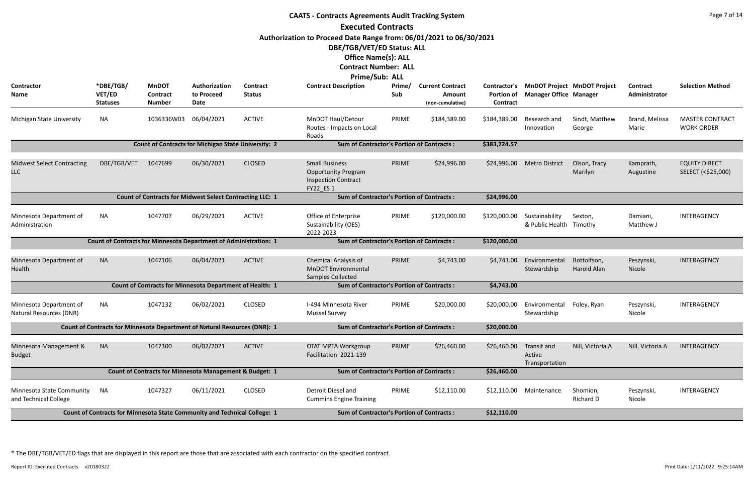| <b>CAATS - Contracts Agreements Audit Tracking System</b> |                                                                           |                                                  |                                                                 |                           |                                                                                                |               |                                                       |                                               |                                           |                                    |                                  |                                             |
|-----------------------------------------------------------|---------------------------------------------------------------------------|--------------------------------------------------|-----------------------------------------------------------------|---------------------------|------------------------------------------------------------------------------------------------|---------------|-------------------------------------------------------|-----------------------------------------------|-------------------------------------------|------------------------------------|----------------------------------|---------------------------------------------|
|                                                           |                                                                           |                                                  |                                                                 |                           | <b>Executed Contracts</b>                                                                      |               |                                                       |                                               |                                           |                                    |                                  |                                             |
|                                                           |                                                                           |                                                  |                                                                 |                           | Authorization to Proceed Date Range from: 06/01/2021 to 06/30/2021                             |               |                                                       |                                               |                                           |                                    |                                  |                                             |
|                                                           |                                                                           |                                                  |                                                                 |                           | DBE/TGB/VET/ED Status: ALL                                                                     |               |                                                       |                                               |                                           |                                    |                                  |                                             |
|                                                           |                                                                           |                                                  |                                                                 |                           | <b>Office Name(s): ALL</b>                                                                     |               |                                                       |                                               |                                           |                                    |                                  |                                             |
|                                                           |                                                                           |                                                  |                                                                 |                           | <b>Contract Number: ALL</b>                                                                    |               |                                                       |                                               |                                           |                                    |                                  |                                             |
|                                                           |                                                                           |                                                  |                                                                 |                           | Prime/Sub: ALL                                                                                 |               |                                                       |                                               |                                           |                                    |                                  |                                             |
| Contractor<br>Name                                        | *DBE/TGB/<br>VET/ED<br><b>Statuses</b>                                    | <b>MnDOT</b><br><b>Contract</b><br><b>Number</b> | Authorization<br>to Proceed<br>Date                             | Contract<br><b>Status</b> | <b>Contract Description</b>                                                                    | Prime/<br>Sub | <b>Current Contract</b><br>Amount<br>(non-cumulative) | Contractor's<br><b>Portion of</b><br>Contract | <b>Manager Office Manager</b>             | <b>MnDOT Project MnDOT Project</b> | <b>Contract</b><br>Administrator | <b>Selection Method</b>                     |
| Michigan State University                                 | <b>NA</b>                                                                 | 1036336W03                                       | 06/04/2021                                                      | <b>ACTIVE</b>             | <b>MnDOT Haul/Detour</b><br>Routes - Impacts on Local<br>Roads                                 | PRIME         | \$184,389.00                                          | \$184,389.00                                  | Research and<br>Innovation                | Sindt, Matthew<br>George           | Brand, Melissa<br>Marie          | <b>MASTER CONTRACT</b><br><b>WORK ORDER</b> |
|                                                           |                                                                           |                                                  | <b>Count of Contracts for Michigan State University: 2</b>      |                           | <b>Sum of Contractor's Portion of Contracts:</b>                                               |               |                                                       | \$383,724.57                                  |                                           |                                    |                                  |                                             |
|                                                           |                                                                           |                                                  |                                                                 |                           |                                                                                                |               |                                                       |                                               |                                           |                                    |                                  |                                             |
| <b>Midwest Select Contracting</b><br><b>LLC</b>           | DBE/TGB/VET                                                               | 1047699                                          | 06/30/2021                                                      | <b>CLOSED</b>             | <b>Small Business</b><br><b>Opportunity Program</b><br><b>Inspection Contract</b><br>FY22 ES 1 | PRIME         | \$24,996.00                                           | \$24,996.00                                   | <b>Metro District</b>                     | Olson, Tracy<br>Marilyn            | Kamprath,<br>Augustine           | <b>EQUITY DIRECT</b><br>SELECT (<\$25,000)  |
|                                                           |                                                                           |                                                  | <b>Count of Contracts for Midwest Select Contracting LLC: 1</b> |                           | <b>Sum of Contractor's Portion of Contracts:</b>                                               |               |                                                       | \$24,996.00                                   |                                           |                                    |                                  |                                             |
| Minnesota Department of<br>Administration                 | NA                                                                        | 1047707                                          | 06/29/2021                                                      | <b>ACTIVE</b>             | Office of Enterprise<br>Sustainability (OES)<br>2022-2023                                      | PRIME         | \$120,000.00                                          | \$120,000.00                                  | Sustainability<br>& Public Health Timothy | Sexton,                            | Damiani,<br>Matthew J            | INTERAGENCY                                 |
|                                                           | <b>Count of Contracts for Minnesota Department of Administration: 1</b>   |                                                  |                                                                 |                           | <b>Sum of Contractor's Portion of Contracts:</b>                                               |               |                                                       | \$120,000.00                                  |                                           |                                    |                                  |                                             |
| Minnesota Department of<br>Health                         | <b>NA</b>                                                                 | 1047106                                          | 06/04/2021                                                      | <b>ACTIVE</b>             | <b>Chemical Analysis of</b><br><b>MnDOT Environmental</b><br>Samples Collected                 | PRIME         | \$4,743.00                                            | \$4,743.00                                    | Environmental<br>Stewardship              | Bottolfson,<br>Harold Alan         | Peszynski,<br>Nicole             | INTERAGENCY                                 |
|                                                           |                                                                           |                                                  | Count of Contracts for Minnesota Department of Health: 1        |                           | <b>Sum of Contractor's Portion of Contracts:</b>                                               |               |                                                       | \$4,743.00                                    |                                           |                                    |                                  |                                             |
| Minnesota Department of<br>Natural Resources (DNR)        | NA                                                                        | 1047132                                          | 06/02/2021                                                      | <b>CLOSED</b>             | I-494 Minnesota River<br><b>Mussel Survey</b>                                                  | PRIME         | \$20,000.00                                           | \$20,000.00                                   | Environmental<br>Stewardship              | Foley, Ryan                        | Peszynski,<br>Nicole             | INTERAGENCY                                 |
|                                                           | Count of Contracts for Minnesota Department of Natural Resources (DNR): 1 |                                                  |                                                                 |                           | <b>Sum of Contractor's Portion of Contracts:</b>                                               |               |                                                       | \$20,000.00                                   |                                           |                                    |                                  |                                             |
| Minnesota Management &<br><b>Budget</b>                   | <b>NA</b>                                                                 | 1047300                                          | 06/02/2021                                                      | <b>ACTIVE</b>             | OTAT MPTA Workgroup<br>Facilitation 2021-139                                                   | PRIME         | \$26,460.00                                           | \$26,460.00                                   | Transit and<br>Active<br>Transportation   | Nill, Victoria A                   | Nill, Victoria A                 | INTERAGENCY                                 |
|                                                           |                                                                           |                                                  | Count of Contracts for Minnesota Management & Budget: 1         |                           | <b>Sum of Contractor's Portion of Contracts:</b>                                               |               |                                                       | \$26,460.00                                   |                                           |                                    |                                  |                                             |
| Minnesota State Community<br>and Technical College        | <b>NA</b>                                                                 | 1047327                                          | 06/11/2021                                                      | <b>CLOSED</b>             | Detroit Diesel and<br><b>Cummins Engine Training</b>                                           | PRIME         | \$12,110.00                                           |                                               | \$12,110.00 Maintenance                   | Shomion,<br>Richard D              | Peszynski,<br>Nicole             | INTERAGENCY                                 |
|                                                           | Count of Contracts for Minnesota State Community and Technical College: 1 |                                                  |                                                                 |                           | <b>Sum of Contractor's Portion of Contracts:</b>                                               |               |                                                       | \$12,110.00                                   |                                           |                                    |                                  |                                             |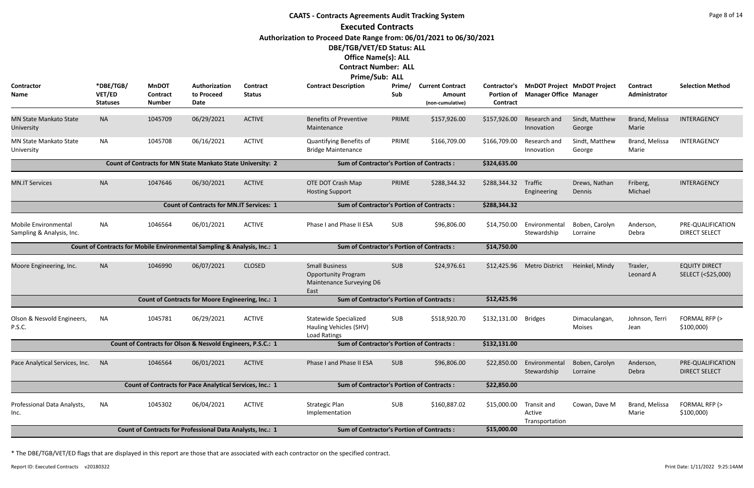**Contractor Name**

**University** 

MN State Mankato State

MN State Mankato State

University

#### **CAATS - Contracts Agreements Audit Tracking System Executed Contracts Authorization to Proceed Date Range from: 06/01/2021 to 06/30/2021 DBE/TGB/VET/ED Status: ALL Office Name(s): ALL Contract Number: ALL Prime/Sub: ALL \*DBE/TGB/ VET/ED Statuses Authorization to Proceed Date MnDOT Contract Number Prime/ Sub Contract Description Prime/ Current Contract Portion of Manager Office Contract Amount (non-cumulative) Contract Status** NA 1045709 06/29/2021 ACTIVE Benefits of Preventive PRIME \$157,926.00 \$157,926.00 Research and Sindt, Matthew Brand, Melissa INTERAGENCY Maintenance \$157,926.00 Research and Innovation ACTIVE NA 1045708 06/16/2021 ACTIVE Quantifying Benefits of PRIME \$166,709.00 \$166,709.00 Research and Sindt, Matthew Brand, Melissa INTERAGENCY Bridge Maintenance \$166,709.00 Research and Innovation ACTIVE **Count of Contracts for MN State Mankato State University: 2 Sum of Contractor's Portion of Contracts : \$324,635.00** MN.IT Services NA NA 1047646 06/30/2021 ACTIVE OTE DOT Crash Map PRIME Hosting Support 06/30/2021 ACTIVE OTE DOT Crash Map PRIME \$288,344.32 \$288,344.32 Traffic Drews, Nathan Friberg, INTERAGENCY **Engineering** ACTIVE **Count of Contracts for MN.IT Services: 1 Sum of Contractor's Portion of Contracts : \$288,344.32** NA 1046564 06/01/2021 ACTIVE Phase I and Phase II ESA SUB \$96,806.00 \$14,750.00 Environmental Boben, Carolyn Stewardshi ACTIVE **Count of Contracts for Mobile Environmental Sampling & Analysis, Inc.: 1 Sum of Contractor's Portion of Contracts : \$14,750.00** Moore Engineering, Inc. NA 1046990 Small Business SUB Opportunity Program Maintenance Surveying D6 East 06/07/2021 CLOSED Small Business SUB \$24,976.61 \$12,425.96 Metro District Heinkel, Mindy Traxler, EQUITY DIRECT CLOSED **Count of Contracts for Moore Engineering, Inc.: 1 Sum of Contractor's Portion of Contracts : \$12,425.96** NA 1045781 06/29/2021 ACTIVE Statewide Specialized SUB Hauling Vehicles (SHV) 06/29/2021 ACTIVE Statewide Specialized SUB \$518,920.70 \$132,131.00 Bridges Dimaculangan, Johnson, Terri FORMAL RFP ACTIVE

Mobile Environmental Sampling & Analysis, Inc.

| <b>Current Contract</b><br>Amount<br>(non-cumulative) | Contractor's<br><b>Portion of</b><br><b>Contract</b>    | <b>Manager Office</b>                   | <b>MnDOT Project MnDOT Project</b><br><b>Manager</b> | <b>Contract</b><br>Administrator | <b>Selection Method</b>                    |
|-------------------------------------------------------|---------------------------------------------------------|-----------------------------------------|------------------------------------------------------|----------------------------------|--------------------------------------------|
| \$157,926.00                                          | \$157,926.00                                            | Research and<br>Innovation              | Sindt, Matthew<br>George                             | Brand, Melissa<br>Marie          | <b>INTERAGENCY</b>                         |
| \$166,709.00                                          | \$166,709.00                                            | Research and<br>Innovation              | Sindt, Matthew<br>George                             | Brand, Melissa<br>Marie          | <b>INTERAGENCY</b>                         |
| of Contracts:                                         | \$324,635.00                                            |                                         |                                                      |                                  |                                            |
| \$288,344.32                                          | \$288,344.32                                            | <b>Traffic</b><br>Engineering           | Drews, Nathan<br>Dennis                              | Friberg,<br>Michael              | INTERAGENCY                                |
| of Contracts:                                         | \$288,344.32                                            |                                         |                                                      |                                  |                                            |
| \$96,806.00                                           | \$14,750.00<br>Environmental<br>Stewardship<br>Lorraine |                                         | Boben, Carolyn                                       | Anderson,<br>Debra               | PRE-QUALIFICATION<br><b>DIRECT SELECT</b>  |
| of Contracts:                                         | \$14,750.00                                             |                                         |                                                      |                                  |                                            |
| \$24,976.61                                           | \$12,425.96                                             | <b>Metro District</b>                   | Heinkel, Mindy                                       | Traxler,<br>Leonard A            | <b>EQUITY DIRECT</b><br>SELECT (<\$25,000) |
| of Contracts:                                         | \$12,425.96                                             |                                         |                                                      |                                  |                                            |
| \$518,920.70                                          | \$132,131.00                                            | <b>Bridges</b>                          | Dimaculangan,<br><b>Moises</b>                       | Johnson, Terri<br>Jean           | FORMAL RFP (><br>\$100,000)                |
| of Contracts:                                         | \$132,131.00                                            |                                         |                                                      |                                  |                                            |
| \$96,806.00                                           | \$22,850.00                                             | Environmental<br>Stewardship            | Boben, Carolyn<br>Lorraine                           | Anderson,<br>Debra               | PRE-QUALIFICATION<br><b>DIRECT SELECT</b>  |
| of Contracts:                                         | \$22,850.00                                             |                                         |                                                      |                                  |                                            |
| \$160,887.02                                          | \$15,000.00                                             | Transit and<br>Active<br>Transportation | Cowan, Dave M                                        | Brand, Melissa<br>Marie          | FORMAL RFP (><br>\$100,000)                |
| of Contracts:                                         | \$15,000.00                                             |                                         |                                                      |                                  |                                            |

| Olson & Nesvold Engineers,<br><b>P.S.C.</b> | <b>NA</b>                                                       | 1045781                                                     | 06/29/2021 | <b>ACTIVE</b>                                    | <b>Statewide Specialized</b><br>Hauling Vehicles (SHV)<br>Load Ratings | <b>SUB</b> | \$518,920.70 | \$132,131.00 | <b>Bridges</b>                          | Dimaculangan,<br><b>Moises</b> | Johnson, Terri<br>Jean  |
|---------------------------------------------|-----------------------------------------------------------------|-------------------------------------------------------------|------------|--------------------------------------------------|------------------------------------------------------------------------|------------|--------------|--------------|-----------------------------------------|--------------------------------|-------------------------|
|                                             |                                                                 | Count of Contracts for Olson & Nesvold Engineers, P.S.C.: 1 |            |                                                  | <b>Sum of Contractor's Portion of Contracts:</b>                       |            |              | \$132,131.00 |                                         |                                |                         |
| Pace Analytical Services, Inc.              | <b>NA</b>                                                       | 1046564                                                     | 06/01/2021 | <b>ACTIVE</b>                                    | Phase Land Phase II ESA                                                | <b>SUB</b> | \$96,806.00  | \$22,850.00  | Environmental<br>Stewardship            | Boben, Carolyn<br>Lorraine     | Anderson,<br>Debra      |
|                                             | <b>Count of Contracts for Pace Analytical Services, Inc.: 1</b> |                                                             |            | <b>Sum of Contractor's Portion of Contracts:</b> |                                                                        |            | \$22,850.00  |              |                                         |                                |                         |
| Professional Data Analysts,<br>Inc.         | <b>NA</b>                                                       | 1045302                                                     | 06/04/2021 | <b>ACTIVE</b>                                    | <b>Strategic Plan</b><br>Implementation                                | <b>SUB</b> | \$160,887.02 | \$15,000.00  | Transit and<br>Active<br>Transportation | Cowan, Dave M                  | Brand, Melissa<br>Marie |
|                                             |                                                                 | Count of Contracts for Professional Data Analysts, Inc.: 1  |            |                                                  | <b>Sum of Contractor's Portion of Contracts:</b>                       |            |              | \$15,000.00  |                                         |                                |                         |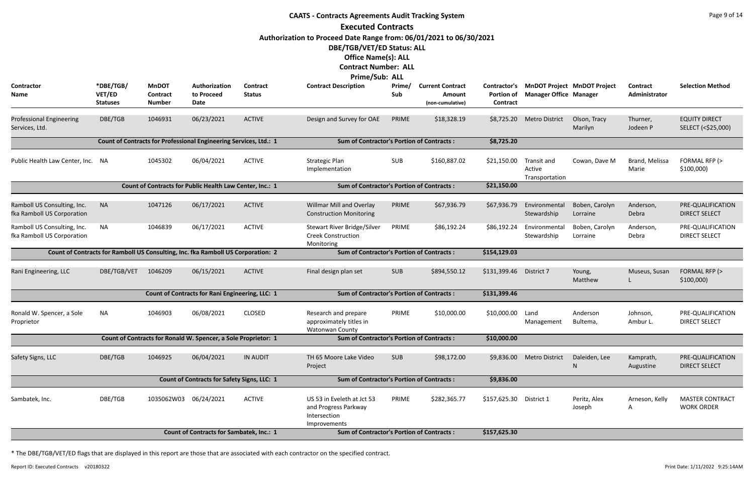|                                                           | <b>CAATS - Contracts Agreements Audit Tracking System</b> |                                                  |                                                                                  |                                                  |                                                                                    |               |                                                       |                                               |                                         |                                    |                                  |                                             |  |
|-----------------------------------------------------------|-----------------------------------------------------------|--------------------------------------------------|----------------------------------------------------------------------------------|--------------------------------------------------|------------------------------------------------------------------------------------|---------------|-------------------------------------------------------|-----------------------------------------------|-----------------------------------------|------------------------------------|----------------------------------|---------------------------------------------|--|
|                                                           |                                                           |                                                  |                                                                                  |                                                  | <b>Executed Contracts</b>                                                          |               |                                                       |                                               |                                         |                                    |                                  |                                             |  |
|                                                           |                                                           |                                                  |                                                                                  |                                                  | Authorization to Proceed Date Range from: 06/01/2021 to 06/30/2021                 |               |                                                       |                                               |                                         |                                    |                                  |                                             |  |
|                                                           |                                                           |                                                  |                                                                                  |                                                  | DBE/TGB/VET/ED Status: ALL                                                         |               |                                                       |                                               |                                         |                                    |                                  |                                             |  |
|                                                           |                                                           |                                                  |                                                                                  |                                                  | <b>Office Name(s): ALL</b>                                                         |               |                                                       |                                               |                                         |                                    |                                  |                                             |  |
|                                                           |                                                           |                                                  |                                                                                  |                                                  | <b>Contract Number: ALL</b>                                                        |               |                                                       |                                               |                                         |                                    |                                  |                                             |  |
|                                                           |                                                           |                                                  |                                                                                  |                                                  | Prime/Sub: ALL                                                                     |               |                                                       |                                               |                                         |                                    |                                  |                                             |  |
| Contractor<br>Name                                        | *DBE/TGB/<br>VET/ED<br><b>Statuses</b>                    | <b>MnDOT</b><br><b>Contract</b><br><b>Number</b> | Authorization<br>to Proceed<br>Date                                              | Contract<br><b>Status</b>                        | <b>Contract Description</b>                                                        | Prime/<br>Sub | <b>Current Contract</b><br>Amount<br>(non-cumulative) | Contractor's<br><b>Portion of</b><br>Contract | <b>Manager Office Manager</b>           | <b>MnDOT Project MnDOT Project</b> | <b>Contract</b><br>Administrator | <b>Selection Method</b>                     |  |
| <b>Professional Engineering</b><br>Services, Ltd.         | DBE/TGB                                                   | 1046931                                          | 06/23/2021                                                                       | <b>ACTIVE</b>                                    | Design and Survey for OAE                                                          | PRIME         | \$18,328.19                                           | \$8,725.20                                    | <b>Metro District</b>                   | Olson, Tracy<br>Marilyn            | Thurner,<br>Jodeen P             | <b>EQUITY DIRECT</b><br>SELECT (<\$25,000)  |  |
|                                                           |                                                           |                                                  | Count of Contracts for Professional Engineering Services, Ltd.: 1                |                                                  | <b>Sum of Contractor's Portion of Contracts:</b>                                   |               |                                                       | \$8,725.20                                    |                                         |                                    |                                  |                                             |  |
| Public Health Law Center, Inc. NA                         |                                                           | 1045302                                          | 06/04/2021                                                                       | <b>ACTIVE</b>                                    | <b>Strategic Plan</b><br>Implementation                                            | SUB           | \$160,887.02                                          | \$21,150.00                                   | Transit and<br>Active<br>Transportation | Cowan, Dave M                      | Brand, Melissa<br>Marie          | FORMAL RFP (><br>\$100,000                  |  |
|                                                           |                                                           |                                                  | Count of Contracts for Public Health Law Center, Inc.: 1                         |                                                  | <b>Sum of Contractor's Portion of Contracts:</b>                                   |               |                                                       | \$21,150.00                                   |                                         |                                    |                                  |                                             |  |
| Ramboll US Consulting, Inc.<br>fka Ramboll US Corporation | <b>NA</b>                                                 | 1047126                                          | 06/17/2021                                                                       | <b>ACTIVE</b>                                    | Willmar Mill and Overlay<br><b>Construction Monitoring</b>                         | PRIME         | \$67,936.79                                           | \$67,936.79                                   | Environmental<br>Stewardship            | Boben, Carolyn<br>Lorraine         | Anderson,<br>Debra               | PRE-QUALIFICATION<br><b>DIRECT SELECT</b>   |  |
| Ramboll US Consulting, Inc.<br>fka Ramboll US Corporation | <b>NA</b>                                                 | 1046839                                          | 06/17/2021                                                                       | <b>ACTIVE</b>                                    | Stewart River Bridge/Silver<br><b>Creek Construction</b><br>Monitoring             | PRIME         | \$86,192.24                                           | \$86,192.24                                   | Environmental<br>Stewardship            | Boben, Carolyn<br>Lorraine         | Anderson,<br>Debra               | PRE-QUALIFICATION<br><b>DIRECT SELECT</b>   |  |
|                                                           |                                                           |                                                  | Count of Contracts for Ramboll US Consulting, Inc. fka Ramboll US Corporation: 2 |                                                  | <b>Sum of Contractor's Portion of Contracts:</b>                                   |               |                                                       | \$154,129.03                                  |                                         |                                    |                                  |                                             |  |
| Rani Engineering, LLC                                     | DBE/TGB/VET                                               | 1046209                                          | 06/15/2021                                                                       | <b>ACTIVE</b>                                    | Final design plan set                                                              | <b>SUB</b>    | \$894,550.12                                          | \$131,399.46                                  | District 7                              | Young,<br>Matthew                  | Museus, Susan                    | FORMAL RFP (><br>\$100,000                  |  |
|                                                           |                                                           |                                                  | Count of Contracts for Rani Engineering, LLC: 1                                  |                                                  | <b>Sum of Contractor's Portion of Contracts:</b>                                   |               |                                                       | \$131,399.46                                  |                                         |                                    |                                  |                                             |  |
| Ronald W. Spencer, a Sole<br>Proprietor                   | <b>NA</b>                                                 | 1046903                                          | 06/08/2021                                                                       | <b>CLOSED</b>                                    | Research and prepare<br>approximately titles in<br>Watonwan County                 | PRIME         | \$10,000.00                                           | \$10,000.00                                   | Land<br>Management                      | Anderson<br>Bultema,               | Johnson,<br>Ambur L.             | PRE-QUALIFICATION<br><b>DIRECT SELECT</b>   |  |
|                                                           |                                                           |                                                  | Count of Contracts for Ronald W. Spencer, a Sole Proprietor: 1                   |                                                  | <b>Sum of Contractor's Portion of Contracts:</b>                                   |               |                                                       | \$10,000.00                                   |                                         |                                    |                                  |                                             |  |
| Safety Signs, LLC                                         | DBE/TGB                                                   | 1046925                                          | 06/04/2021                                                                       | <b>IN AUDIT</b>                                  | TH 65 Moore Lake Video<br>Project                                                  | <b>SUB</b>    | \$98,172.00                                           | \$9,836.00                                    | <b>Metro District</b>                   | Daleiden, Lee<br>N                 | Kamprath,<br>Augustine           | PRE-QUALIFICATION<br><b>DIRECT SELECT</b>   |  |
|                                                           |                                                           |                                                  | Count of Contracts for Safety Signs, LLC: 1                                      |                                                  | <b>Sum of Contractor's Portion of Contracts:</b>                                   |               |                                                       | \$9,836.00                                    |                                         |                                    |                                  |                                             |  |
| Sambatek, Inc.                                            | DBE/TGB                                                   | 1035062W03 06/24/2021                            |                                                                                  | <b>ACTIVE</b>                                    | US 53 in Eveleth at Jct 53<br>and Progress Parkway<br>Intersection<br>Improvements | PRIME         | \$282,365.77                                          | \$157,625.30                                  | District 1                              | Peritz, Alex<br>Joseph             | Arneson, Kelly<br>A              | <b>MASTER CONTRACT</b><br><b>WORK ORDER</b> |  |
|                                                           |                                                           |                                                  | <b>Count of Contracts for Sambatek, Inc.: 1</b>                                  | <b>Sum of Contractor's Portion of Contracts:</b> | \$157,625.30                                                                       |               |                                                       |                                               |                                         |                                    |                                  |                                             |  |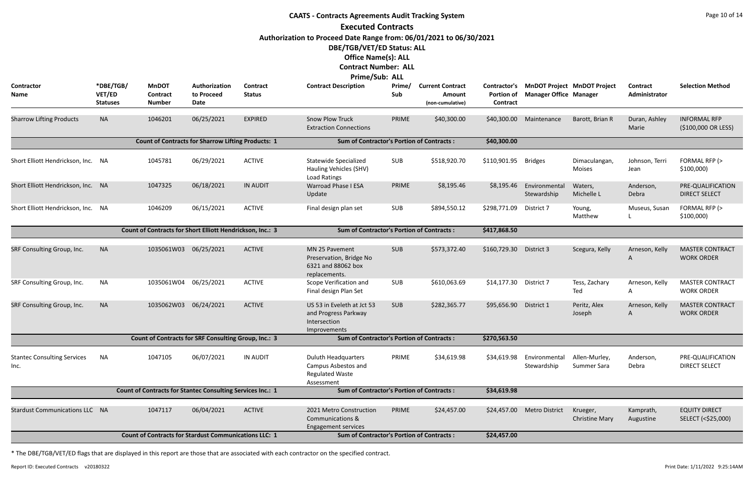|                                                                                                                                                                                 | <b>CAATS - Contracts Agreements Audit Tracking System</b><br><b>Executed Contracts</b> |                                                                   |                                            |                                  |                                                                                           |               |                                                       |                                                      |                               |                                    |                           |                                             |  |
|---------------------------------------------------------------------------------------------------------------------------------------------------------------------------------|----------------------------------------------------------------------------------------|-------------------------------------------------------------------|--------------------------------------------|----------------------------------|-------------------------------------------------------------------------------------------|---------------|-------------------------------------------------------|------------------------------------------------------|-------------------------------|------------------------------------|---------------------------|---------------------------------------------|--|
| Authorization to Proceed Date Range from: 06/01/2021 to 06/30/2021<br>DBE/TGB/VET/ED Status: ALL<br><b>Office Name(s): ALL</b><br><b>Contract Number: ALL</b><br>Prime/Sub: ALL |                                                                                        |                                                                   |                                            |                                  |                                                                                           |               |                                                       |                                                      |                               |                                    |                           |                                             |  |
| <b>Contractor</b><br>Name                                                                                                                                                       | *DBE/TGB/<br>VET/ED<br><b>Statuses</b>                                                 | <b>MnDOT</b><br><b>Contract</b><br><b>Number</b>                  | Authorization<br>to Proceed<br><b>Date</b> | <b>Contract</b><br><b>Status</b> | <b>Contract Description</b>                                                               | Prime/<br>Sub | <b>Current Contract</b><br>Amount<br>(non-cumulative) | <b>Contractor's</b><br>Portion of<br><b>Contract</b> | <b>Manager Office Manager</b> | <b>MnDOT Project MnDOT Project</b> | Contract<br>Administrator | <b>Selection Method</b>                     |  |
| <b>Sharrow Lifting Products</b>                                                                                                                                                 | <b>NA</b>                                                                              | 1046201                                                           | 06/25/2021                                 | <b>EXPIRED</b>                   | <b>Snow Plow Truck</b><br><b>Extraction Connections</b>                                   | PRIME         | \$40,300.00                                           | \$40,300.00                                          | Maintenance                   | Barott, Brian R                    | Duran, Ashley<br>Marie    | <b>INFORMAL RFP</b><br>(\$100,000 OR LESS)  |  |
|                                                                                                                                                                                 |                                                                                        | <b>Count of Contracts for Sharrow Lifting Products: 1</b>         |                                            |                                  | <b>Sum of Contractor's Portion of Contracts:</b>                                          |               |                                                       | \$40,300.00                                          |                               |                                    |                           |                                             |  |
| Short Elliott Hendrickson, Inc. NA                                                                                                                                              |                                                                                        | 1045781                                                           | 06/29/2021                                 | <b>ACTIVE</b>                    | Statewide Specialized<br>Hauling Vehicles (SHV)<br>Load Ratings                           | <b>SUB</b>    | \$518,920.70                                          | \$110,901.95                                         | <b>Bridges</b>                | Dimaculangan,<br><b>Moises</b>     | Johnson, Terri<br>Jean    | FORMAL RFP (><br>\$100,000                  |  |
| Short Elliott Hendrickson, Inc. NA                                                                                                                                              |                                                                                        | 1047325                                                           | 06/18/2021                                 | <b>IN AUDIT</b>                  | <b>Warroad Phase I ESA</b><br>Update                                                      | PRIME         | \$8,195.46                                            | \$8,195.46                                           | Environmental<br>Stewardship  | Waters,<br>Michelle L              | Anderson,<br>Debra        | PRE-QUALIFICATION<br><b>DIRECT SELECT</b>   |  |
| Short Elliott Hendrickson, Inc. NA                                                                                                                                              |                                                                                        | 1046209                                                           | 06/15/2021                                 | <b>ACTIVE</b>                    | Final design plan set                                                                     | SUB           | \$894,550.12                                          | \$298,771.09                                         | District 7                    | Young,<br>Matthew                  | Museus, Susan             | FORMAL RFP (><br>\$100,000                  |  |
|                                                                                                                                                                                 |                                                                                        | Count of Contracts for Short Elliott Hendrickson, Inc.: 3         |                                            |                                  | <b>Sum of Contractor's Portion of Contracts:</b>                                          |               |                                                       | \$417,868.50                                         |                               |                                    |                           |                                             |  |
| SRF Consulting Group, Inc.                                                                                                                                                      | <b>NA</b>                                                                              | 1035061W03                                                        | 06/25/2021                                 | <b>ACTIVE</b>                    | MN 25 Pavement<br>Preservation, Bridge No<br>6321 and 88062 box<br>replacements.          | <b>SUB</b>    | \$573,372.40                                          | \$160,729.30                                         | District 3                    | Scegura, Kelly                     | Arneson, Kelly<br>A       | <b>MASTER CONTRACT</b><br><b>WORK ORDER</b> |  |
| SRF Consulting Group, Inc.                                                                                                                                                      | ΝA                                                                                     | 1035061W04 06/25/2021                                             |                                            | <b>ACTIVE</b>                    | Scope Verification and<br>Final design Plan Set                                           | <b>SUB</b>    | \$610,063.69                                          | \$14,177.30 District 7                               |                               | Tess, Zachary<br>Ted               | Arneson, Kelly<br>Α       | <b>MASTER CONTRACT</b><br><b>WORK ORDER</b> |  |
| SRF Consulting Group, Inc.                                                                                                                                                      | <b>NA</b>                                                                              | 1035062W03 06/24/2021                                             |                                            | <b>ACTIVE</b>                    | US 53 in Eveleth at Jct 53<br>and Progress Parkway<br>Intersection<br>Improvements        | <b>SUB</b>    | \$282,365.77                                          | \$95,656.90                                          | District 1                    | Peritz, Alex<br>Joseph             | Arneson, Kelly<br>A       | <b>MASTER CONTRACT</b><br><b>WORK ORDER</b> |  |
|                                                                                                                                                                                 |                                                                                        | Count of Contracts for SRF Consulting Group, Inc.: 3              |                                            |                                  | <b>Sum of Contractor's Portion of Contracts:</b>                                          |               |                                                       | \$270,563.50                                         |                               |                                    |                           |                                             |  |
| <b>Stantec Consulting Services</b><br>Inc.                                                                                                                                      | <b>NA</b>                                                                              | 1047105                                                           | 06/07/2021                                 | <b>IN AUDIT</b>                  | <b>Duluth Headquarters</b><br>Campus Asbestos and<br><b>Regulated Waste</b><br>Assessment | PRIME         | \$34,619.98                                           | \$34,619.98                                          | Environmental<br>Stewardship  | Allen-Murley,<br>Summer Sara       | Anderson,<br>Debra        | PRE-QUALIFICATION<br><b>DIRECT SELECT</b>   |  |
|                                                                                                                                                                                 |                                                                                        | <b>Count of Contracts for Stantec Consulting Services Inc.: 1</b> |                                            |                                  | <b>Sum of Contractor's Portion of Contracts:</b>                                          |               |                                                       | \$34,619.98                                          |                               |                                    |                           |                                             |  |
| <b>Stardust Communications LLC NA</b>                                                                                                                                           |                                                                                        | 1047117                                                           | 06/04/2021                                 | <b>ACTIVE</b>                    | 2021 Metro Construction<br><b>Communications &amp;</b><br><b>Engagement services</b>      | PRIME         | \$24,457.00                                           | \$24,457.00                                          | <b>Metro District</b>         | Krueger,<br><b>Christine Mary</b>  | Kamprath,<br>Augustine    | <b>EQUITY DIRECT</b><br>SELECT (<\$25,000)  |  |
|                                                                                                                                                                                 |                                                                                        | <b>Count of Contracts for Stardust Communications LLC: 1</b>      |                                            |                                  | <b>Sum of Contractor's Portion of Contracts:</b>                                          |               |                                                       | \$24,457.00                                          |                               |                                    |                           |                                             |  |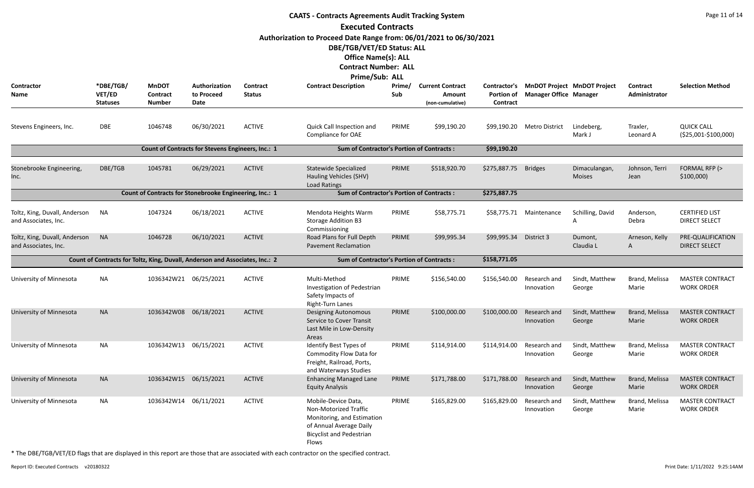|                                                       |                                        |                                                  |                                                                              |                           | <b>CAATS - Contracts Agreements Audit Tracking System</b>                                                                                         |               |                                                       |                                               |                               |                                    |                           | Page 11 of 14                                 |
|-------------------------------------------------------|----------------------------------------|--------------------------------------------------|------------------------------------------------------------------------------|---------------------------|---------------------------------------------------------------------------------------------------------------------------------------------------|---------------|-------------------------------------------------------|-----------------------------------------------|-------------------------------|------------------------------------|---------------------------|-----------------------------------------------|
|                                                       |                                        |                                                  |                                                                              |                           | <b>Executed Contracts</b>                                                                                                                         |               |                                                       |                                               |                               |                                    |                           |                                               |
|                                                       |                                        |                                                  |                                                                              |                           | Authorization to Proceed Date Range from: 06/01/2021 to 06/30/2021                                                                                |               |                                                       |                                               |                               |                                    |                           |                                               |
|                                                       |                                        |                                                  |                                                                              |                           | DBE/TGB/VET/ED Status: ALL                                                                                                                        |               |                                                       |                                               |                               |                                    |                           |                                               |
|                                                       |                                        |                                                  |                                                                              |                           | <b>Office Name(s): ALL</b><br><b>Contract Number: ALL</b>                                                                                         |               |                                                       |                                               |                               |                                    |                           |                                               |
|                                                       |                                        |                                                  |                                                                              |                           | Prime/Sub: ALL                                                                                                                                    |               |                                                       |                                               |                               |                                    |                           |                                               |
| <b>Contractor</b><br>Name                             | *DBE/TGB/<br>VET/ED<br><b>Statuses</b> | <b>MnDOT</b><br><b>Contract</b><br><b>Number</b> | Authorization<br>to Proceed<br>Date                                          | Contract<br><b>Status</b> | <b>Contract Description</b>                                                                                                                       | Prime/<br>Sub | <b>Current Contract</b><br>Amount<br>(non-cumulative) | Contractor's<br><b>Portion of</b><br>Contract | <b>Manager Office Manager</b> | <b>MnDOT Project MnDOT Project</b> | Contract<br>Administrator | <b>Selection Method</b>                       |
| Stevens Engineers, Inc.                               | DBE                                    | 1046748                                          | 06/30/2021                                                                   | <b>ACTIVE</b>             | Quick Call Inspection and<br>Compliance for OAE                                                                                                   | PRIME         | \$99,190.20                                           |                                               | \$99,190.20 Metro District    | Lindeberg,<br>Mark J               | Traxler,<br>Leonard A     | <b>QUICK CALL</b><br>(\$25,001-\$100,000)     |
|                                                       |                                        |                                                  | Count of Contracts for Stevens Engineers, Inc.: 1                            |                           | <b>Sum of Contractor's Portion of Contracts:</b>                                                                                                  |               |                                                       | \$99,190.20                                   |                               |                                    |                           |                                               |
| Stonebrooke Engineering,<br>Inc.                      | DBE/TGB                                | 1045781                                          | 06/29/2021                                                                   | <b>ACTIVE</b>             | <b>Statewide Specialized</b><br>Hauling Vehicles (SHV)<br><b>Load Ratings</b>                                                                     | PRIME         | \$518,920.70                                          | \$275,887.75                                  | <b>Bridges</b>                | Dimaculangan,<br><b>Moises</b>     | Johnson, Terri<br>Jean    | FORMAL RFP (><br>\$100,000                    |
|                                                       |                                        |                                                  | Count of Contracts for Stonebrooke Engineering, Inc.: 1                      |                           | <b>Sum of Contractor's Portion of Contracts:</b>                                                                                                  |               |                                                       | \$275,887.75                                  |                               |                                    |                           |                                               |
| Toltz, King, Duvall, Anderson<br>and Associates, Inc. | <b>NA</b>                              | 1047324                                          | 06/18/2021                                                                   | <b>ACTIVE</b>             | Mendota Heights Warm<br><b>Storage Addition B3</b><br>Commissioning                                                                               | PRIME         | \$58,775.71                                           | \$58,775.71                                   | Maintenance                   | Schilling, David                   | Anderson,<br>Debra        | <b>CERTIFIED LIST</b><br><b>DIRECT SELECT</b> |
| Toltz, King, Duvall, Anderson<br>and Associates, Inc. | <b>NA</b>                              | 1046728                                          | 06/10/2021                                                                   | <b>ACTIVE</b>             | Road Plans for Full Depth<br><b>Pavement Reclamation</b>                                                                                          | PRIME         | \$99,995.34                                           | \$99,995.34                                   | District 3                    | Dumont,<br>Claudia L               | Arneson, Kelly<br>A       | PRE-QUALIFICATION<br><b>DIRECT SELECT</b>     |
|                                                       |                                        |                                                  | Count of Contracts for Toltz, King, Duvall, Anderson and Associates, Inc.: 2 |                           | <b>Sum of Contractor's Portion of Contracts:</b>                                                                                                  |               |                                                       | \$158,771.05                                  |                               |                                    |                           |                                               |
| University of Minnesota                               | ΝA                                     | 1036342W21 06/25/2021                            |                                                                              | <b>ACTIVE</b>             | Multi-Method<br>Investigation of Pedestrian<br>Safety Impacts of<br><b>Right-Turn Lanes</b>                                                       | PRIME         | \$156,540.00                                          | \$156,540.00                                  | Research and<br>Innovation    | Sindt, Matthew<br>George           | Brand, Melissa<br>Marie   | <b>MASTER CONTRACT</b><br><b>WORK ORDER</b>   |
| University of Minnesota                               | <b>NA</b>                              | 1036342W08                                       | 06/18/2021                                                                   | <b>ACTIVE</b>             | <b>Designing Autonomous</b><br>Service to Cover Transit<br>Last Mile in Low-Density<br>Areas                                                      | PRIME         | \$100,000.00                                          | \$100,000.00                                  | Research and<br>Innovation    | Sindt, Matthew<br>George           | Brand, Melissa<br>Marie   | <b>MASTER CONTRACT</b><br><b>WORK ORDER</b>   |
| University of Minnesota                               | <b>NA</b>                              | 1036342W13 06/15/2021                            |                                                                              | <b>ACTIVE</b>             | Identify Best Types of<br>Commodity Flow Data for<br>Freight, Railroad, Ports,<br>and Waterways Studies                                           | PRIME         | \$114,914.00                                          | \$114,914.00                                  | Research and<br>Innovation    | Sindt, Matthew<br>George           | Brand, Melissa<br>Marie   | <b>MASTER CONTRACT</b><br><b>WORK ORDER</b>   |
| University of Minnesota                               | <b>NA</b>                              | 1036342W15                                       | 06/15/2021                                                                   | <b>ACTIVE</b>             | <b>Enhancing Managed Lane</b><br><b>Equity Analysis</b>                                                                                           | PRIME         | \$171,788.00                                          | \$171,788.00                                  | Research and<br>Innovation    | Sindt, Matthew<br>George           | Brand, Melissa<br>Marie   | <b>MASTER CONTRACT</b><br><b>WORK ORDER</b>   |
| University of Minnesota                               | <b>NA</b>                              | 1036342W14                                       | 06/11/2021                                                                   | <b>ACTIVE</b>             | Mobile-Device Data,<br>Non-Motorized Traffic<br>Monitoring, and Estimation<br>of Annual Average Daily<br><b>Bicyclist and Pedestrian</b><br>Flows | PRIME         | \$165,829.00                                          | \$165,829.00                                  | Research and<br>Innovation    | Sindt, Matthew<br>George           | Brand, Melissa<br>Marie   | <b>MASTER CONTRACT</b><br><b>WORK ORDER</b>   |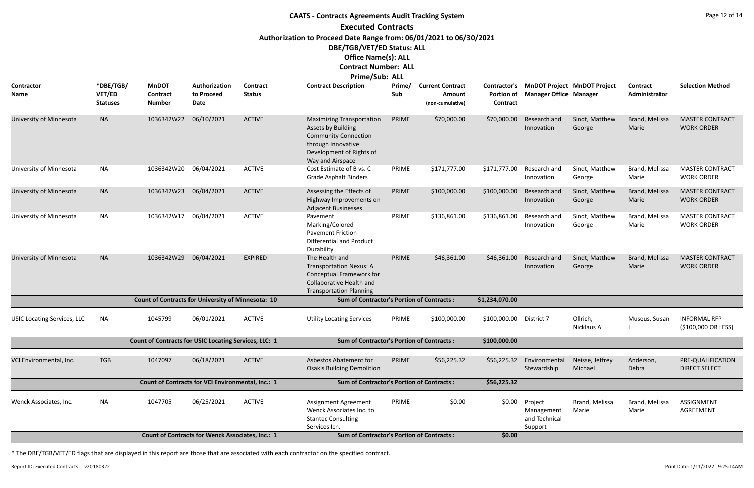# **CAATS - Contracts Agreements Audit Tracking System Executed Contracts Authorization to Proceed Date Range from: 06/01/2021 to 06/30/2021 DBE/TGB/VET/ED Status: ALL Office Name(s): ALL Contract Number: ALL**

| MUJALLI NUMBEL. ALL |  |
|---------------------|--|
| Prime/Sub: ALL      |  |

| <b>Contractor</b><br><b>Name</b>   | *DBE/TGB/<br>VET/ED<br><b>Statuses</b> | <b>MnDOT</b><br><b>Contract</b><br><b>Number</b>          | Authorization<br>to Proceed<br>Date                     | <b>Contract</b><br><b>Status</b> | <b>Contract Description</b>                                                                                                                                        | Prime/<br>Sub | <b>Current Contract</b><br>Amount<br>(non-cumulative) | <b>Contractor's</b><br>Portion of<br>Contract | <b>Manager Office Manager</b>                     | <b>MnDOT Project MnDOT Project</b> | <b>Contract</b><br>Administrator | <b>Selection Method</b>                     |
|------------------------------------|----------------------------------------|-----------------------------------------------------------|---------------------------------------------------------|----------------------------------|--------------------------------------------------------------------------------------------------------------------------------------------------------------------|---------------|-------------------------------------------------------|-----------------------------------------------|---------------------------------------------------|------------------------------------|----------------------------------|---------------------------------------------|
| University of Minnesota            | <b>NA</b>                              | 1036342W22                                                | 06/10/2021                                              | <b>ACTIVE</b>                    | <b>Maximizing Transportation</b><br><b>Assets by Building</b><br><b>Community Connection</b><br>through Innovative<br>Development of Rights of<br>Way and Airspace | PRIME         | \$70,000.00                                           | \$70,000.00                                   | Research and<br>Innovation                        | Sindt, Matthew<br>George           | Brand, Melissa<br>Marie          | <b>MASTER CONTRACT</b><br><b>WORK ORDER</b> |
| University of Minnesota            | <b>NA</b>                              | 1036342W20                                                | 06/04/2021                                              | <b>ACTIVE</b>                    | Cost Estimate of B vs. C<br><b>Grade Asphalt Binders</b>                                                                                                           | PRIME         | \$171,777.00                                          | \$171,777.00                                  | Research and<br>Innovation                        | Sindt, Matthew<br>George           | Brand, Melissa<br>Marie          | <b>MASTER CONTRACT</b><br><b>WORK ORDER</b> |
| University of Minnesota            | <b>NA</b>                              | 1036342W23 06/04/2021                                     |                                                         | <b>ACTIVE</b>                    | Assessing the Effects of<br>Highway Improvements on<br><b>Adjacent Businesses</b>                                                                                  | PRIME         | \$100,000.00                                          | \$100,000.00                                  | Research and<br>Innovation                        | Sindt, Matthew<br>George           | Brand, Melissa<br>Marie          | <b>MASTER CONTRACT</b><br><b>WORK ORDER</b> |
| University of Minnesota            | <b>NA</b>                              | 1036342W17                                                | 06/04/2021                                              | <b>ACTIVE</b>                    | Pavement<br>Marking/Colored<br><b>Pavement Friction</b><br><b>Differential and Product</b><br>Durability                                                           | PRIME         | \$136,861.00                                          | \$136,861.00                                  | Research and<br>Innovation                        | Sindt, Matthew<br>George           | Brand, Melissa<br>Marie          | <b>MASTER CONTRACT</b><br><b>WORK ORDER</b> |
| University of Minnesota            | <b>NA</b>                              | 1036342W29                                                | 06/04/2021                                              | <b>EXPIRED</b>                   | The Health and<br><b>Transportation Nexus: A</b><br>Conceptual Framework for<br><b>Collaborative Health and</b><br><b>Transportation Planning</b>                  | PRIME         | \$46,361.00                                           | \$46,361.00                                   | Research and<br>Innovation                        | Sindt, Matthew<br>George           | Brand, Melissa<br>Marie          | <b>MASTER CONTRACT</b><br><b>WORK ORDER</b> |
|                                    |                                        | <b>Count of Contracts for University of Minnesota: 10</b> |                                                         |                                  | <b>Sum of Contractor's Portion of Contracts:</b>                                                                                                                   |               |                                                       | \$1,234,070.00                                |                                                   |                                    |                                  |                                             |
| <b>USIC Locating Services, LLC</b> | <b>NA</b>                              | 1045799                                                   | 06/01/2021                                              | <b>ACTIVE</b>                    | <b>Utility Locating Services</b>                                                                                                                                   | PRIME         | \$100,000.00                                          | \$100,000.00                                  | District 7                                        | Ollrich,<br>Nicklaus A             | Museus, Susan                    | <b>INFORMAL RFP</b><br>(\$100,000 OR LESS)  |
|                                    |                                        | Count of Contracts for USIC Locating Services, LLC: 1     |                                                         |                                  | <b>Sum of Contractor's Portion of Contracts:</b>                                                                                                                   |               |                                                       | \$100,000.00                                  |                                                   |                                    |                                  |                                             |
| VCI Environmental, Inc.            | <b>TGB</b>                             | 1047097                                                   | 06/18/2021                                              | <b>ACTIVE</b>                    | <b>Asbestos Abatement for</b><br><b>Osakis Building Demolition</b>                                                                                                 | PRIME         | \$56,225.32                                           | \$56,225.32                                   | Environmental<br>Stewardship                      | Neisse, Jeffrey<br>Michael         | Anderson,<br>Debra               | PRE-QUALIFICATION<br><b>DIRECT SELECT</b>   |
|                                    |                                        |                                                           | Count of Contracts for VCI Environmental, Inc.: 1       |                                  | <b>Sum of Contractor's Portion of Contracts:</b>                                                                                                                   |               |                                                       | \$56,225.32                                   |                                                   |                                    |                                  |                                             |
| Wenck Associates, Inc.             | NA                                     | 1047705                                                   | 06/25/2021                                              | <b>ACTIVE</b>                    | Assignment Agreement<br>Wenck Associates Inc. to<br><b>Stantec Consulting</b><br>Services Icn.                                                                     | PRIME         | \$0.00                                                | \$0.00                                        | Project<br>Management<br>and Technical<br>Support | Brand, Melissa<br>Marie            | Brand, Melissa<br>Marie          | <b>ASSIGNMENT</b><br>AGREEMENT              |
|                                    |                                        |                                                           | <b>Count of Contracts for Wenck Associates, Inc.: 1</b> |                                  | <b>Sum of Contractor's Portion of Contracts:</b>                                                                                                                   |               |                                                       | \$0.00                                        |                                                   |                                    |                                  |                                             |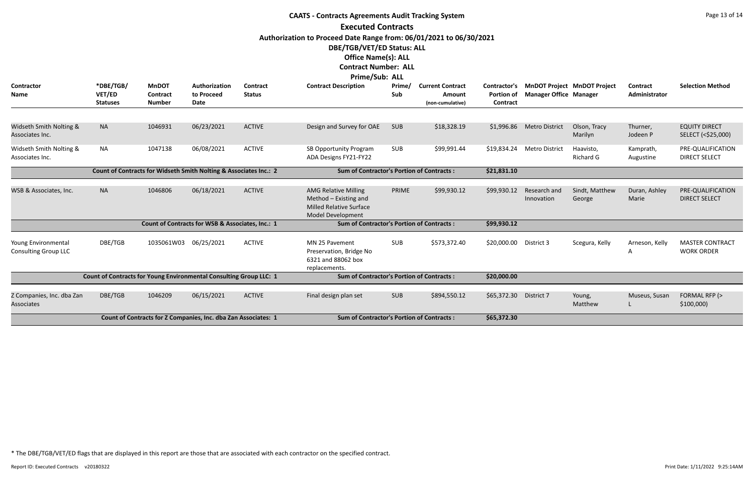|                                                    |                                                                    |                                                  |                                                                   |                                  | <b>CAATS - Contracts Agreements Audit Tracking System</b>                                                                                                                       |               |                                                              |                                      |                               |                                          |                                  | Page 13 of 14                               |
|----------------------------------------------------|--------------------------------------------------------------------|--------------------------------------------------|-------------------------------------------------------------------|----------------------------------|---------------------------------------------------------------------------------------------------------------------------------------------------------------------------------|---------------|--------------------------------------------------------------|--------------------------------------|-------------------------------|------------------------------------------|----------------------------------|---------------------------------------------|
|                                                    |                                                                    |                                                  |                                                                   |                                  | <b>Executed Contracts</b>                                                                                                                                                       |               |                                                              |                                      |                               |                                          |                                  |                                             |
|                                                    |                                                                    |                                                  |                                                                   |                                  | Authorization to Proceed Date Range from: 06/01/2021 to 06/30/2021<br>DBE/TGB/VET/ED Status: ALL<br><b>Office Name(s): ALL</b><br><b>Contract Number: ALL</b><br>Prime/Sub: ALL |               |                                                              |                                      |                               |                                          |                                  |                                             |
| Contractor<br>Name                                 | *DBE/TGB/<br>VET/ED<br><b>Statuses</b>                             | <b>MnDOT</b><br><b>Contract</b><br><b>Number</b> | Authorization<br>to Proceed<br><b>Date</b>                        | <b>Contract</b><br><b>Status</b> | <b>Contract Description</b>                                                                                                                                                     | Prime/<br>Sub | <b>Current Contract</b><br><b>Amount</b><br>(non-cumulative) | <b>Portion of</b><br><b>Contract</b> | <b>Manager Office Manager</b> | Contractor's MnDOT Project MnDOT Project | <b>Contract</b><br>Administrator | <b>Selection Method</b>                     |
| Widseth Smith Nolting &<br>Associates Inc.         | <b>NA</b>                                                          | 1046931                                          | 06/23/2021                                                        | <b>ACTIVE</b>                    | Design and Survey for OAE                                                                                                                                                       | SUB           | \$18,328.19                                                  |                                      | \$1,996.86 Metro District     | Olson, Tracy<br>Marilyn                  | Thurner,<br>Jodeen P             | <b>EQUITY DIRECT</b><br>SELECT (<\$25,000)  |
| Widseth Smith Nolting &<br>Associates Inc.         | <b>NA</b>                                                          | 1047138                                          | 06/08/2021                                                        | <b>ACTIVE</b>                    | SB Opportunity Program<br>ADA Designs FY21-FY22                                                                                                                                 | <b>SUB</b>    | \$99,991.44                                                  | \$19,834.24                          | <b>Metro District</b>         | Haavisto,<br><b>Richard G</b>            | Kamprath,<br>Augustine           | PRE-QUALIFICATION<br><b>DIRECT SELECT</b>   |
|                                                    |                                                                    |                                                  | Count of Contracts for Widseth Smith Nolting & Associates Inc.: 2 |                                  | <b>Sum of Contractor's Portion of Contracts:</b>                                                                                                                                |               |                                                              | \$21,831.10                          |                               |                                          |                                  |                                             |
| WSB & Associates, Inc.                             | <b>NA</b>                                                          | 1046806                                          | 06/18/2021                                                        | <b>ACTIVE</b>                    | <b>AMG Relative Milling</b><br>Method - Existing and<br><b>Milled Relative Surface</b><br><b>Model Development</b>                                                              | PRIME         | \$99,930.12                                                  | \$99,930.12                          | Research and<br>Innovation    | Sindt, Matthew<br>George                 | Duran, Ashley<br>Marie           | PRE-QUALIFICATION<br><b>DIRECT SELECT</b>   |
|                                                    |                                                                    |                                                  | Count of Contracts for WSB & Associates, Inc.: 1                  |                                  | <b>Sum of Contractor's Portion of Contracts:</b>                                                                                                                                |               |                                                              | \$99,930.12                          |                               |                                          |                                  |                                             |
| Young Environmental<br><b>Consulting Group LLC</b> | DBE/TGB                                                            |                                                  | 1035061W03 06/25/2021                                             | <b>ACTIVE</b>                    | MN 25 Pavement<br>Preservation, Bridge No<br>6321 and 88062 box<br>replacements.                                                                                                | <b>SUB</b>    | \$573,372.40                                                 | \$20,000.00 District 3               |                               | Scegura, Kelly                           | Arneson, Kelly<br>A              | <b>MASTER CONTRACT</b><br><b>WORK ORDER</b> |
|                                                    | Count of Contracts for Young Environmental Consulting Group LLC: 1 |                                                  |                                                                   |                                  | <b>Sum of Contractor's Portion of Contracts:</b>                                                                                                                                |               |                                                              | \$20,000.00                          |                               |                                          |                                  |                                             |
| Z Companies, Inc. dba Zan<br>Associates            | DBE/TGB                                                            | 1046209                                          | 06/15/2021                                                        | <b>ACTIVE</b>                    | Final design plan set                                                                                                                                                           | <b>SUB</b>    | \$894,550.12                                                 | \$65,372.30 District 7               |                               | Young,<br>Matthew                        | Museus, Susan<br>L               | FORMAL RFP (><br>\$100,000                  |
|                                                    |                                                                    |                                                  | Count of Contracts for Z Companies, Inc. dba Zan Associates: 1    |                                  | <b>Sum of Contractor's Portion of Contracts:</b>                                                                                                                                |               |                                                              | \$65,372.30                          |                               |                                          |                                  |                                             |